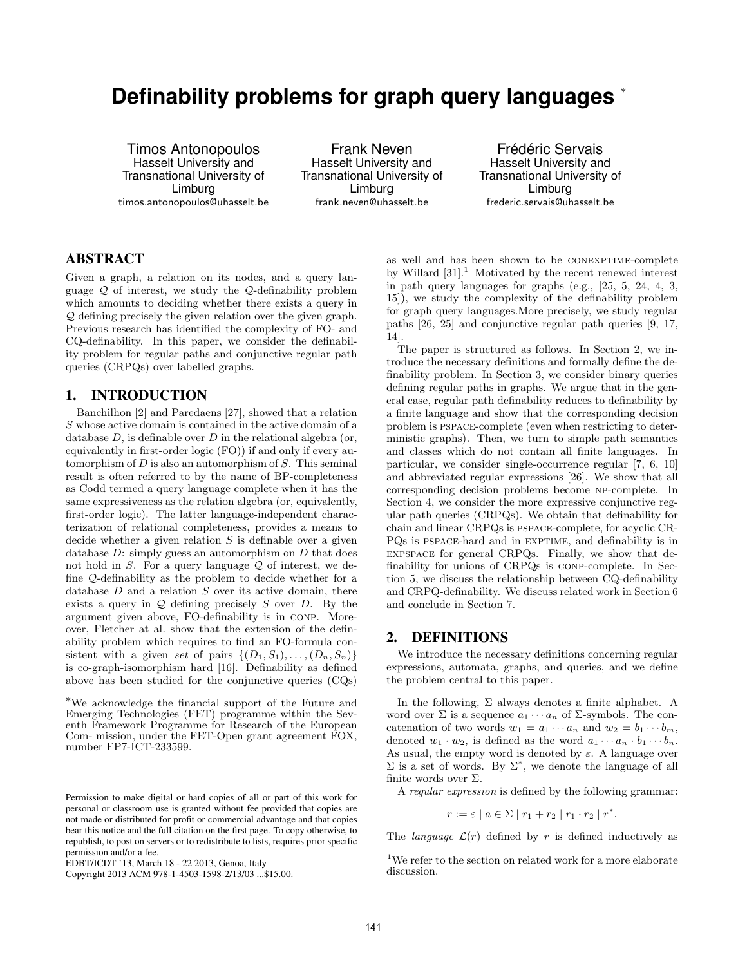# **Definability problems for graph query languages** <sup>∗</sup>

Timos Antonopoulos Hasselt University and Transnational University of Limburg timos.antonopoulos@uhasselt.be

Frank Neven Hasselt University and Transnational University of Limburg frank.neven@uhasselt.be

Frédéric Servais Hasselt University and Transnational University of Limburg frederic.servais@uhasselt.be

# ABSTRACT

Given a graph, a relation on its nodes, and a query language  $\mathcal{Q}$  of interest, we study the  $\mathcal{Q}$ -definability problem which amounts to deciding whether there exists a query in Q defining precisely the given relation over the given graph. Previous research has identified the complexity of FO- and CQ-definability. In this paper, we consider the definability problem for regular paths and conjunctive regular path queries (CRPQs) over labelled graphs.

## 1. INTRODUCTION

Banchilhon [2] and Paredaens [27], showed that a relation S whose active domain is contained in the active domain of a database  $D$ , is definable over  $D$  in the relational algebra (or, equivalently in first-order logic (FO)) if and only if every automorphism of  $D$  is also an automorphism of  $S$ . This seminal result is often referred to by the name of BP-completeness as Codd termed a query language complete when it has the same expressiveness as the relation algebra (or, equivalently, first-order logic). The latter language-independent characterization of relational completeness, provides a means to decide whether a given relation  $S$  is definable over a given database  $D$ : simply guess an automorphism on  $D$  that does not hold in  $S$ . For a query language  $\mathcal Q$  of interest, we define Q-definability as the problem to decide whether for a database  $D$  and a relation  $S$  over its active domain, there exists a query in  $Q$  defining precisely  $S$  over  $D$ . By the argument given above, FO-definability is in conp. Moreover, Fletcher at al. show that the extension of the definability problem which requires to find an FO-formula consistent with a given set of pairs  $\{(D_1, S_1), \ldots, (D_n, S_n)\}\$ is co-graph-isomorphism hard [16]. Definability as defined above has been studied for the conjunctive queries (CQs)

as well and has been shown to be conexptime-complete by Willard  $[31]$ <sup>1</sup>. Motivated by the recent renewed interest in path query languages for graphs (e.g., [25, 5, 24, 4, 3, 15]), we study the complexity of the definability problem for graph query languages.More precisely, we study regular paths [26, 25] and conjunctive regular path queries [9, 17, 14].

The paper is structured as follows. In Section 2, we introduce the necessary definitions and formally define the definability problem. In Section 3, we consider binary queries defining regular paths in graphs. We argue that in the general case, regular path definability reduces to definability by a finite language and show that the corresponding decision problem is pspace-complete (even when restricting to deterministic graphs). Then, we turn to simple path semantics and classes which do not contain all finite languages. In particular, we consider single-occurrence regular [7, 6, 10] and abbreviated regular expressions [26]. We show that all corresponding decision problems become np-complete. In Section 4, we consider the more expressive conjunctive regular path queries (CRPQs). We obtain that definability for chain and linear CRPQs is pspace-complete, for acyclic CR-PQs is PSPACE-hard and in EXPTIME, and definability is in expspace for general CRPQs. Finally, we show that definability for unions of CRPQs is conp-complete. In Section 5, we discuss the relationship between CQ-definability and CRPQ-definability. We discuss related work in Section 6 and conclude in Section 7.

## 2. DEFINITIONS

We introduce the necessary definitions concerning regular expressions, automata, graphs, and queries, and we define the problem central to this paper.

In the following,  $\Sigma$  always denotes a finite alphabet. A word over  $\Sigma$  is a sequence  $a_1 \cdots a_n$  of  $\Sigma$ -symbols. The concatenation of two words  $w_1 = a_1 \cdots a_n$  and  $w_2 = b_1 \cdots b_m$ , denoted  $w_1 \cdot w_2$ , is defined as the word  $a_1 \cdots a_n \cdot b_1 \cdots b_n$ . As usual, the empty word is denoted by  $\varepsilon$ . A language over  $\Sigma$  is a set of words. By  $\Sigma^*$ , we denote the language of all finite words over Σ.

A regular expression is defined by the following grammar:

 $r := \varepsilon \mid a \in \Sigma \mid r_1 + r_2 \mid r_1 \cdot r_2 \mid r^*.$ 

The *language*  $\mathcal{L}(r)$  defined by r is defined inductively as

<sup>∗</sup>We acknowledge the financial support of the Future and Emerging Technologies (FET) programme within the Seventh Framework Programme for Research of the European Com- mission, under the FET-Open grant agreement FOX, number FP7-ICT-233599.

Permission to make digital or hard copies of all or part of this work for personal or classroom use is granted without fee provided that copies are not made or distributed for profit or commercial advantage and that copies bear this notice and the full citation on the first page. To copy otherwise, to republish, to post on servers or to redistribute to lists, requires prior specific permission and/or a fee.

EDBT/ICDT '13, March 18 - 22 2013, Genoa, Italy

Copyright 2013 ACM 978-1-4503-1598-2/13/03 ...\$15.00.

<sup>&</sup>lt;sup>1</sup>We refer to the section on related work for a more elaborate discussion.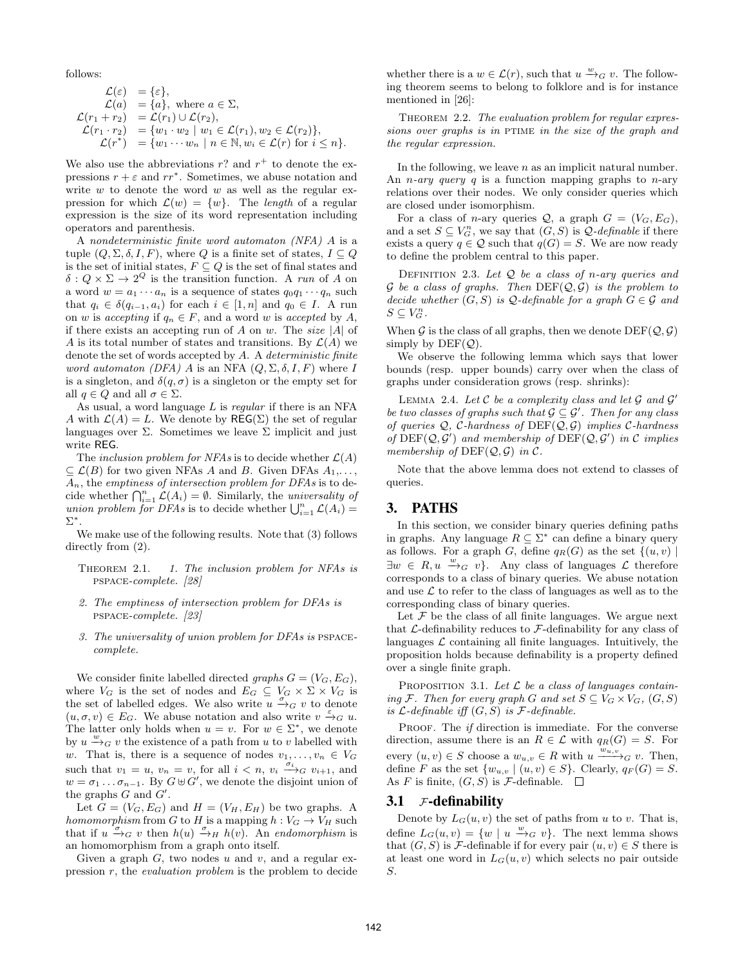follows:

$$
\mathcal{L}(\varepsilon) = \{\varepsilon\},
$$
  
\n
$$
\mathcal{L}(a) = \{a\}, \text{ where } a \in \Sigma,
$$
  
\n
$$
\mathcal{L}(r_1 + r_2) = \mathcal{L}(r_1) \cup \mathcal{L}(r_2),
$$
  
\n
$$
\mathcal{L}(r_1 \cdot r_2) = \{w_1 \cdot w_2 \mid w_1 \in \mathcal{L}(r_1), w_2 \in \mathcal{L}(r_2)\},
$$
  
\n
$$
\mathcal{L}(r^*) = \{w_1 \cdots w_n \mid n \in \mathbb{N}, w_i \in \mathcal{L}(r) \text{ for } i \leq n\}.
$$

We also use the abbreviations  $r$ ? and  $r^+$  to denote the expressions  $r + \varepsilon$  and  $rr^*$ . Sometimes, we abuse notation and write  $w$  to denote the word  $w$  as well as the regular expression for which  $\mathcal{L}(w) = \{w\}$ . The length of a regular expression is the size of its word representation including operators and parenthesis.

A nondeterministic finite word automaton (NFA) A is a tuple  $(Q, \Sigma, \delta, I, F)$ , where Q is a finite set of states,  $I \subseteq Q$ is the set of initial states,  $F \subseteq Q$  is the set of final states and  $\delta: Q \times \Sigma \to 2^Q$  is the transition function. A run of A on a word  $w = a_1 \cdots a_n$  is a sequence of states  $q_0q_1 \cdots q_n$  such that  $q_i \in \delta(q_{i-1}, a_i)$  for each  $i \in [1, n]$  and  $q_0 \in I$ . A run on w is accepting if  $q_n \in F$ , and a word w is accepted by A, if there exists an accepting run of A on w. The size |A| of A is its total number of states and transitions. By  $\mathcal{L}(A)$  we denote the set of words accepted by A. A deterministic finite word automaton (DFA) A is an NFA  $(Q, \Sigma, \delta, I, F)$  where I is a singleton, and  $\delta(q, \sigma)$  is a singleton or the empty set for all  $q \in Q$  and all  $\sigma \in \Sigma$ .

As usual, a word language  $L$  is regular if there is an NFA A with  $\mathcal{L}(A) = L$ . We denote by  $\mathsf{REG}(\Sigma)$  the set of regular languages over  $\Sigma$ . Sometimes we leave  $\Sigma$  implicit and just write REG.

The inclusion problem for NFAs is to decide whether  $\mathcal{L}(A)$  $\subseteq$   $\mathcal{L}(B)$  for two given NFAs A and B. Given DFAs  $A_1, \ldots,$  $A_n$ , the emptiness of intersection problem for DFAs is to decide whether  $\bigcap_{i=1}^n \mathcal{L}(A_i) = \emptyset$ . Similarly, the universality of union problem for DFAs is to decide whether  $\bigcup_{i=1}^n \mathcal{L}(A_i) =$ Σ ∗ .

We make use of the following results. Note that (3) follows directly from  $(2)$ .

- THEOREM 2.1. 1. The inclusion problem for NFAs is pspace-complete. [28]
- 2. The emptiness of intersection problem for DFAs is pspace-complete. [23]
- 3. The universality of union problem for DFAs is pspacecomplete.

We consider finite labelled directed graphs  $G = (V_G, E_G)$ , where  $V_G$  is the set of nodes and  $E_G \subseteq V_G \times \Sigma \times V_G$  is the set of labelled edges. We also write  $\overline{u} \stackrel{\sigma}{\rightarrow}_G v$  to denote  $(u, \sigma, v) \in E_G$ . We abuse notation and also write  $v \xrightarrow{\varepsilon} g u$ . The latter only holds when  $u = v$ . For  $w \in \Sigma^*$ , we denote by  $u \stackrel{w}{\rightarrow}_G v$  the existence of a path from u to v labelled with w. That is, there is a sequence of nodes  $v_1, \ldots, v_n \in V_G$ such that  $v_1 = u$ ,  $v_n = v$ , for all  $i < n$ ,  $v_i \xrightarrow{\sigma_i} g v_{i+1}$ , and  $w = \sigma_1 \dots \sigma_{n-1}$ . By  $G \oplus G'$ , we denote the disjoint union of the graphs  $G$  and  $G'$ .

Let  $G = (V_G, E_G)$  and  $H = (V_H, E_H)$  be two graphs. A homomorphism from G to H is a mapping  $h: V_G \to V_H$  such that if  $u \stackrel{\sigma}{\rightarrow}_G v$  then  $h(u) \stackrel{\sigma}{\rightarrow}_H h(v)$ . An endomorphism is an homomorphism from a graph onto itself.

Given a graph  $G$ , two nodes  $u$  and  $v$ , and a regular expression  $r$ , the *evaluation problem* is the problem to decide

whether there is a  $w \in \mathcal{L}(r)$ , such that  $u \xrightarrow{w}_{G} v$ . The following theorem seems to belong to folklore and is for instance mentioned in [26]:

THEOREM 2.2. The evaluation problem for regular expressions over graphs is in PTIME in the size of the graph and the regular expression.

In the following, we leave  $n$  as an implicit natural number. An *n*-ary query q is a function mapping graphs to *n*-ary relations over their nodes. We only consider queries which are closed under isomorphism.

For a class of *n*-ary queries  $Q$ , a graph  $G = (V_G, E_G)$ , and a set  $S \subseteq V_G^n$ , we say that  $(G, S)$  is  $\mathcal{Q}\text{-}definable$  if there exists a query  $q \in \mathcal{Q}$  such that  $q(G) = S$ . We are now ready to define the problem central to this paper.

DEFINITION 2.3. Let  $Q$  be a class of n-ary queries and  $G$  be a class of graphs. Then  $DEF(Q, G)$  is the problem to decide whether  $(G, S)$  is Q-definable for a graph  $G \in \mathcal{G}$  and  $S \subseteq V_G^n$ .

When G is the class of all graphs, then we denote  $DEF(Q, \mathcal{G})$ simply by  $DEF(Q)$ .

We observe the following lemma which says that lower bounds (resp. upper bounds) carry over when the class of graphs under consideration grows (resp. shrinks):

LEMMA 2.4. Let  $C$  be a complexity class and let  $G$  and  $G'$ be two classes of graphs such that  $\mathcal{G} \subseteq \mathcal{G}'$ . Then for any class of queries  $Q$ , C-hardness of DEF( $Q$ ,  $G$ ) implies C-hardness of  $DEF(Q, \mathcal{G}')$  and membership of  $DEF(Q, \mathcal{G}')$  in C implies membership of  $DEF(Q, \mathcal{G})$  in  $\mathcal{C}$ .

Note that the above lemma does not extend to classes of queries.

## 3. PATHS

In this section, we consider binary queries defining paths in graphs. Any language  $R \subseteq \Sigma^*$  can define a binary query as follows. For a graph G, define  $q_R(G)$  as the set  $\{(u, v) \mid$  $\exists w \in R, u \xrightarrow{w}_{G} v$ . Any class of languages  $\mathcal{L}$  therefore corresponds to a class of binary queries. We abuse notation and use  $\mathcal L$  to refer to the class of languages as well as to the corresponding class of binary queries.

Let  $\mathcal F$  be the class of all finite languages. We argue next that  $\mathcal{L}$ -definability reduces to  $\mathcal{F}$ -definability for any class of languages  $\mathcal L$  containing all finite languages. Intuitively, the proposition holds because definability is a property defined over a single finite graph.

PROPOSITION 3.1. Let  $\mathcal L$  be a class of languages containing F. Then for every graph G and set  $S \subseteq V_G \times V_G$ ,  $(G, S)$ is  $\mathcal{L}\text{-}definable$  iff  $(G, S)$  is  $\mathcal{F}\text{-}definable$ .

PROOF. The *if* direction is immediate. For the converse direction, assume there is an  $R \in \mathcal{L}$  with  $q_R(G) = S$ . For every  $(u, v) \in S$  choose a  $w_{u,v} \in R$  with  $u \xrightarrow{w_{u,v}} G v$ . Then, define F as the set  $\{w_{u,v} \mid (u,v) \in S\}$ . Clearly,  $q_F(G) = S$ . As F is finite,  $(G, S)$  is F-definable.  $\square$ 

#### 3.1  $\mathcal{F}\text{-definability}$

Denote by  $L_G(u, v)$  the set of paths from u to v. That is, define  $L_G(u, v) = \{w \mid u \stackrel{w}{\longrightarrow}_G v\}.$  The next lemma shows that  $(G, S)$  is *F*-definable if for every pair  $(u, v) \in S$  there is at least one word in  $L_G(u, v)$  which selects no pair outside S.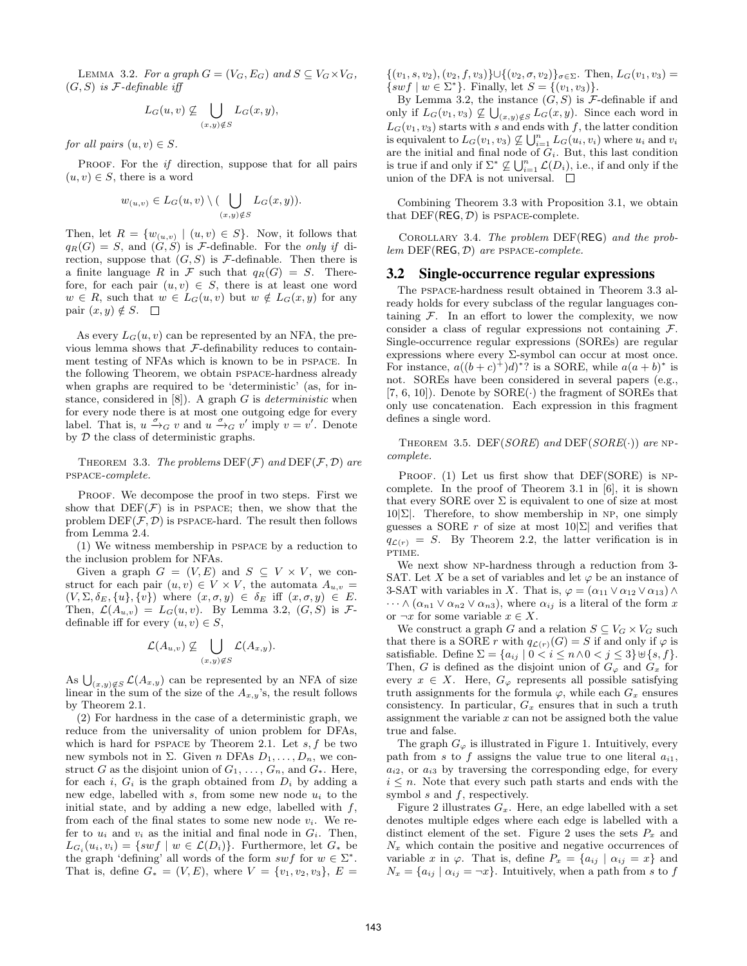LEMMA 3.2. For a graph  $G = (V_G, E_G)$  and  $S \subseteq V_G \times V_G$ ,  $(G, S)$  is F-definable iff

$$
L_G(u,v) \nsubseteq \bigcup_{(x,y)\notin S} L_G(x,y),
$$

for all pairs  $(u, v) \in S$ .

PROOF. For the *if* direction, suppose that for all pairs  $(u, v) \in S$ , there is a word

$$
w_{(u,v)} \in L_G(u,v) \setminus (\bigcup_{(x,y)\notin S} L_G(x,y)).
$$

Then, let  $R = \{w_{(u,v)} \mid (u,v) \in S\}$ . Now, it follows that  $q_R(G) = S$ , and  $(G, S)$  is F-definable. For the only if direction, suppose that  $(G, S)$  is  $\mathcal F$ -definable. Then there is a finite language R in F such that  $q_R(G) = S$ . Therefore, for each pair  $(u, v) \in S$ , there is at least one word  $w \in R$ , such that  $w \in L_G(u, v)$  but  $w \notin L_G(x, y)$  for any pair  $(x, y) \notin S$ .  $\square$ 

As every  $L_G(u, v)$  can be represented by an NFA, the previous lemma shows that  ${\mathcal F}\text{-definability reduces to contain-}$ ment testing of NFAs which is known to be in pspace. In the following Theorem, we obtain pspace-hardness already when graphs are required to be 'deterministic' (as, for instance, considered in  $[8]$ . A graph G is *deterministic* when for every node there is at most one outgoing edge for every label. That is,  $u \xrightarrow{\sigma} g v$  and  $u \xrightarrow{\sigma} g v'$  imply  $v = v'$ . Denote by D the class of deterministic graphs.

THEOREM 3.3. The problems  $DEF(\mathcal{F})$  and  $DEF(\mathcal{F}, \mathcal{D})$  are pspace-complete.

PROOF. We decompose the proof in two steps. First we show that  $DEF(\mathcal{F})$  is in PSPACE; then, we show that the problem  $DEF(\mathcal{F}, \mathcal{D})$  is PSPACE-hard. The result then follows from Lemma 2.4.

(1) We witness membership in pspace by a reduction to the inclusion problem for NFAs.

Given a graph  $G = (V, E)$  and  $S \subseteq V \times V$ , we construct for each pair  $(u, v) \in V \times V$ , the automata  $A_{u,v}$  $(V, \Sigma, \delta_E, \{u\}, \{v\})$  where  $(x, \sigma, y) \in \delta_E$  iff  $(x, \sigma, y) \in E$ . Then,  $\mathcal{L}(A_{u,v}) = L_G(u, v)$ . By Lemma 3.2,  $(G, S)$  is  $\mathcal{F}$ definable iff for every  $(u, v) \in S$ ,

$$
\mathcal{L}(A_{u,v}) \not\subseteq \bigcup_{(x,y)\not\in S} \mathcal{L}(A_{x,y}).
$$

As  $\bigcup_{(x,y)\notin S} \mathcal{L}(A_{x,y})$  can be represented by an NFA of size linear in the sum of the size of the  $A_{x,y}$ 's, the result follows by Theorem 2.1.

(2) For hardness in the case of a deterministic graph, we reduce from the universality of union problem for DFAs, which is hard for PSPACE by Theorem 2.1. Let  $s, f$  be two new symbols not in  $\Sigma$ . Given n DFAs  $D_1, \ldots, D_n$ , we construct G as the disjoint union of  $G_1, \ldots, G_n$ , and  $G_*$ . Here, for each i,  $G_i$  is the graph obtained from  $D_i$  by adding a new edge, labelled with s, from some new node  $u_i$  to the initial state, and by adding a new edge, labelled with  $f$ , from each of the final states to some new node  $v_i$ . We refer to  $u_i$  and  $v_i$  as the initial and final node in  $G_i$ . Then,  $L_{G_i}(u_i, v_i) = \{ swf \mid w \in \mathcal{L}(D_i) \}.$  Furthermore, let  $G_*$  be the graph 'defining' all words of the form  $swf$  for  $w \in \Sigma^*$ . That is, define  $G_* = (V, E)$ , where  $V = \{v_1, v_2, v_3\}, E =$   $\{(v_1, s, v_2), (v_2, f, v_3)\} \cup \{(v_2, \sigma, v_2)\}_{\sigma \in \Sigma}$ . Then,  $L_G(v_1, v_3)$  =  $\{ swf \mid w \in \Sigma^* \}.$  Finally, let  $S = \{(v_1, v_3)\}.$ 

By Lemma 3.2, the instance  $(G, S)$  is  $\mathcal{F}\text{-definable if and}$ only if  $L_G(v_1, v_3) \not\subseteq \bigcup_{(x,y)\notin S} L_G(x, y)$ . Since each word in  $L_G(v_1, v_3)$  starts with s and ends with f, the latter condition is equivalent to  $L_G(v_1, v_3) \not\subseteq \bigcup_{i=1}^n L_G(u_i, v_i)$  where  $u_i$  and  $v_i$ are the initial and final node of  $G_i$ . But, this last condition is true if and only if  $\Sigma^* \not\subseteq \bigcup_{i=1}^n \mathcal{L}(D_i)$ , i.e., if and only if the union of the DFA is not universal.  $\quad \Box$ 

Combining Theorem 3.3 with Proposition 3.1, we obtain that  $DEF(REG, \mathcal{D})$  is PSPACE-complete.

Corollary 3.4. The problem DEF(REG) and the prob $lem$  DEF(REG,  $D$ ) are PSPACE-complete.

## 3.2 Single-occurrence regular expressions

The pspace-hardness result obtained in Theorem 3.3 already holds for every subclass of the regular languages containing  $F$ . In an effort to lower the complexity, we now consider a class of regular expressions not containing  $\mathcal{F}$ . Single-occurrence regular expressions (SOREs) are regular expressions where every  $\Sigma$ -symbol can occur at most once. For instance,  $a((b+c)^+d)^*$ ? is a SORE, while  $a(a+b)^*$  is not. SOREs have been considered in several papers (e.g.,  $[7, 6, 10]$ . Denote by SORE $(\cdot)$  the fragment of SOREs that only use concatenation. Each expression in this fragment defines a single word.

THEOREM 3.5. DEF(SORE) and DEF(SORE(.)) are NPcomplete.

PROOF. (1) Let us first show that DEF(SORE) is NPcomplete. In the proof of Theorem 3.1 in [6], it is shown that every SORE over  $\Sigma$  is equivalent to one of size at most  $10|\Sigma|$ . Therefore, to show membership in NP, one simply guesses a SORE r of size at most  $10|\Sigma|$  and verifies that  $q_{\mathcal{L}(r)} = S$ . By Theorem 2.2, the latter verification is in PTIME.

We next show NP-hardness through a reduction from 3-SAT. Let X be a set of variables and let  $\varphi$  be an instance of 3-SAT with variables in X. That is,  $\varphi = (\alpha_{11} \vee \alpha_{12} \vee \alpha_{13}) \wedge$  $\cdots \wedge (\alpha_{n1} \vee \alpha_{n2} \vee \alpha_{n3}),$  where  $\alpha_{ij}$  is a literal of the form x or  $\neg x$  for some variable  $x \in X$ .

We construct a graph G and a relation  $S \subseteq V_G \times V_G$  such that there is a SORE r with  $q_{\mathcal{L}(r)}(G) = S$  if and only if  $\varphi$  is satisfiable. Define  $\Sigma = \{a_{ij} \mid 0 < i \le n \land 0 < j \le 3\} \cup \{s, f\}.$ Then, G is defined as the disjoint union of  $G_{\varphi}$  and  $G_x$  for every  $x \in X$ . Here,  $G_{\varphi}$  represents all possible satisfying truth assignments for the formula  $\varphi$ , while each  $G_x$  ensures consistency. In particular,  $G_x$  ensures that in such a truth assignment the variable  $x$  can not be assigned both the value true and false.

The graph  $G_{\varphi}$  is illustrated in Figure 1. Intuitively, every path from s to f assigns the value true to one literal  $a_{i1}$ ,  $a_{i2}$ , or  $a_{i3}$  by traversing the corresponding edge, for every  $i \leq n$ . Note that every such path starts and ends with the symbol  $s$  and  $f$ , respectively.

Figure 2 illustrates  $G_x$ . Here, an edge labelled with a set denotes multiple edges where each edge is labelled with a distinct element of the set. Figure 2 uses the sets  $P_x$  and  $N_x$  which contain the positive and negative occurrences of variable x in  $\varphi$ . That is, define  $P_x = \{a_{ij} \mid \alpha_{ij} = x\}$  and  $N_x = \{a_{ij} \mid \alpha_{ij} = \neg x\}.$  Intuitively, when a path from s to f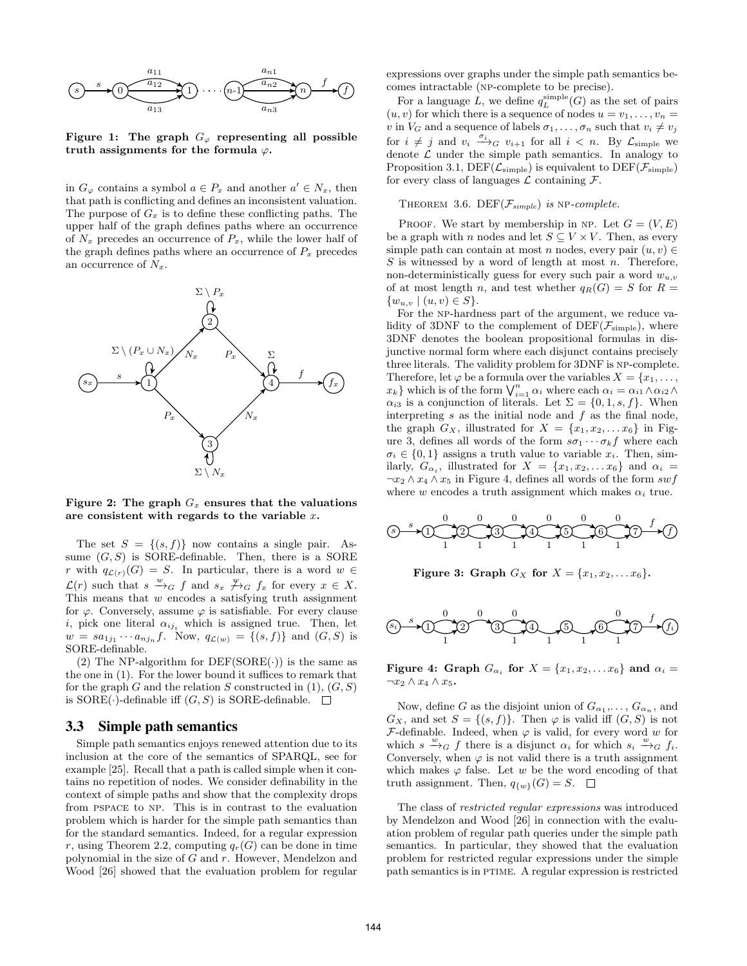

Figure 1: The graph  $G_{\varphi}$  representing all possible truth assignments for the formula  $\varphi$ .

in  $G_{\varphi}$  contains a symbol  $a \in P_x$  and another  $a' \in N_x$ , then that path is conflicting and defines an inconsistent valuation. The purpose of  $G_x$  is to define these conflicting paths. The upper half of the graph defines paths where an occurrence of  $N_x$  precedes an occurrence of  $P_x$ , while the lower half of the graph defines paths where an occurrence of  $P_x$  precedes an occurrence of  $N_x$ .





The set  $S = \{(s, f)\}\$ now contains a single pair. Assume  $(G, S)$  is SORE-definable. Then, there is a SORE r with  $q_{\mathcal{L}(r)}(G) = S$ . In particular, there is a word  $w \in$  $\mathcal{L}(r)$  such that  $s \stackrel{w}{\rightarrow}_G f$  and  $s_x \not\stackrel{w}{\rightarrow}_G f_x$  for every  $x \in X$ . This means that  $w$  encodes a satisfying truth assignment for  $\varphi$ . Conversely, assume  $\varphi$  is satisfiable. For every clause i, pick one literal  $\alpha_{ij_i}$  which is assigned true. Then, let  $w = sa_{1j_1} \cdots a_{nj_n} f$ . Now,  $q_{\mathcal{L}(w)} = \{(s, f)\}\$ and  $(G, S)$  is SORE-definable.

(2) The NP-algorithm for  $DEF(SORE(\cdot))$  is the same as the one in (1). For the lower bound it suffices to remark that for the graph G and the relation S constructed in  $(1)$ ,  $(G, S)$ is SORE( $\cdot$ )-definable iff  $(G, S)$  is SORE-definable.  $\square$ 

#### 3.3 Simple path semantics

Simple path semantics enjoys renewed attention due to its inclusion at the core of the semantics of SPARQL, see for example [25]. Recall that a path is called simple when it contains no repetition of nodes. We consider definability in the context of simple paths and show that the complexity drops from pspace to np. This is in contrast to the evaluation problem which is harder for the simple path semantics than for the standard semantics. Indeed, for a regular expression r, using Theorem 2.2, computing  $q_r(G)$  can be done in time polynomial in the size of  $G$  and  $r$ . However, Mendelzon and Wood [26] showed that the evaluation problem for regular

expressions over graphs under the simple path semantics becomes intractable (np-complete to be precise).

For a language L, we define  $q_L^{\text{simple}}(G)$  as the set of pairs  $(u, v)$  for which there is a sequence of nodes  $u = v_1, \ldots, v_n =$ v in  $V_G$  and a sequence of labels  $\sigma_1, \ldots, \sigma_n$  such that  $v_i \neq v_j$ for  $i \neq j$  and  $v_i \xrightarrow{\sigma_i} g$   $v_{i+1}$  for all  $i < n$ . By  $\mathcal{L}_{\text{simple}}$  we denote  $\mathcal L$  under the simple path semantics. In analogy to Proposition 3.1,  $DEF(\mathcal{L}_{simple})$  is equivalent to  $DEF(\mathcal{F}_{simple})$ for every class of languages  $\mathcal L$  containing  $\mathcal F$ .

THEOREM 3.6. DEF $(\mathcal{F}_{simple})$  is NP-complete.

PROOF. We start by membership in NP. Let  $G = (V, E)$ be a graph with n nodes and let  $S \subseteq V \times V$ . Then, as every simple path can contain at most n nodes, every pair  $(u, v) \in$  $S$  is witnessed by a word of length at most  $n$ . Therefore, non-deterministically guess for every such pair a word  $w_{u,v}$ of at most length n, and test whether  $q_R(G) = S$  for  $R =$  $\{w_{u,v} \mid (u, v) \in S\}.$ 

For the np-hardness part of the argument, we reduce validity of 3DNF to the complement of  $DEF(\mathcal{F}_{simple})$ , where 3DNF denotes the boolean propositional formulas in disjunctive normal form where each disjunct contains precisely three literals. The validity problem for 3DNF is np-complete. Therefore, let  $\varphi$  be a formula over the variables  $X = \{x_1, \ldots, x_n\}$  $x_k$ } which is of the form  $\bigvee_{i=1}^n \alpha_i$  where each  $\alpha_i = \alpha_{i1} \wedge \alpha_{i2} \wedge \alpha_i$  $\alpha_{i3}$  is a conjunction of literals. Let  $\Sigma = \{0, 1, s, f\}$ . When interpreting  $s$  as the initial node and  $f$  as the final node, the graph  $G_X$ , illustrated for  $X = \{x_1, x_2, \ldots x_6\}$  in Figure 3, defines all words of the form  $s\sigma_1 \cdots \sigma_k f$  where each  $\sigma_i \in \{0, 1\}$  assigns a truth value to variable  $x_i$ . Then, similarly,  $G_{\alpha_i}$ , illustrated for  $X = \{x_1, x_2, \ldots x_6\}$  and  $\alpha_i =$  $\neg x_2 \land x_4 \land x_5$  in Figure 4, defines all words of the form swf where w encodes a truth assignment which makes  $\alpha_i$  true.

$$
\textcircled{s}\longrightarrow \textcircled{1} \longrightarrow \textcircled{2} \longrightarrow \textcircled{3} \longrightarrow \textcircled{3} \longrightarrow \textcircled{4} \longrightarrow \textcircled{5} \longrightarrow \textcircled{7} \longrightarrow \textcircled{7}
$$

**Figure 3:** Graph 
$$
G_X
$$
 for  $X = \{x_1, x_2, \ldots x_6\}$ .

s<sup>i</sup> 1 2 3 4 5 6 7 f<sup>i</sup> s 0 1 0 0 1 1 1 0 1 f

Figure 4: Graph  $G_{\alpha_i}$  for  $X = \{x_1, x_2, \ldots x_6\}$  and  $\alpha_i =$  $\neg x_2 \land x_4 \land x_5$ .

Now, define G as the disjoint union of  $G_{\alpha_1}, \ldots, G_{\alpha_n}$ , and  $G_X$ , and set  $S = \{(s, f)\}\$ . Then  $\varphi$  is valid iff  $(G, S)$  is not  $\mathcal F$ -definable. Indeed, when  $\varphi$  is valid, for every word w for which  $s \xrightarrow{w} G f$  there is a disjunct  $\alpha_i$  for which  $s_i \xrightarrow{w} G f_i$ . Conversely, when  $\varphi$  is not valid there is a truth assignment which makes  $\varphi$  false. Let w be the word encoding of that truth assignment. Then,  $q_{\{w\}}(G) = S$ .  $\Box$ 

The class of restricted regular expressions was introduced by Mendelzon and Wood [26] in connection with the evaluation problem of regular path queries under the simple path semantics. In particular, they showed that the evaluation problem for restricted regular expressions under the simple path semantics is in PTIME. A regular expression is restricted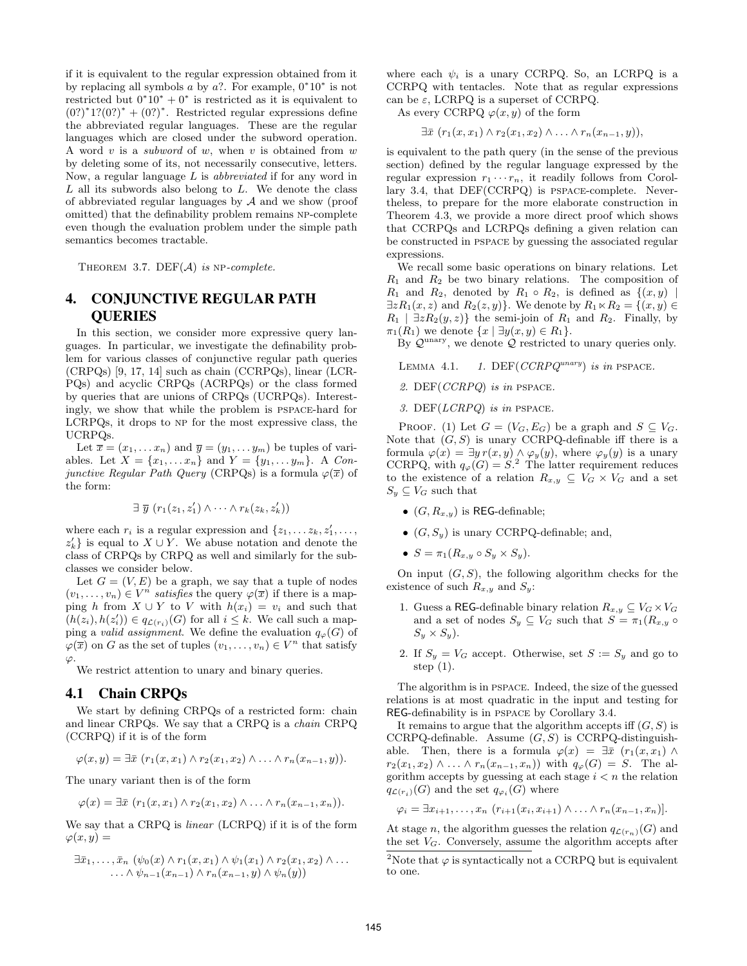if it is equivalent to the regular expression obtained from it by replacing all symbols  $a$  by  $a$ ?. For example,  $0^*10^*$  is not restricted but  $0^*10^* + 0^*$  is restricted as it is equivalent to  $(0?)^*1?(0?)^* + (0?)^*$ . Restricted regular expressions define the abbreviated regular languages. These are the regular languages which are closed under the subword operation. A word v is a *subword* of w, when v is obtained from w by deleting some of its, not necessarily consecutive, letters. Now, a regular language  $L$  is *abbreviated* if for any word in  $L$  all its subwords also belong to  $L$ . We denote the class of abbreviated regular languages by  $A$  and we show (proof omitted) that the definability problem remains NP-complete even though the evaluation problem under the simple path semantics becomes tractable.

THEOREM 3.7. DEF $(A)$  is NP-complete.

# 4. CONJUNCTIVE REGULAR PATH QUERIES

In this section, we consider more expressive query languages. In particular, we investigate the definability problem for various classes of conjunctive regular path queries (CRPQs) [9, 17, 14] such as chain (CCRPQs), linear (LCR-PQs) and acyclic CRPQs (ACRPQs) or the class formed by queries that are unions of CRPQs (UCRPQs). Interestingly, we show that while the problem is pspace-hard for LCRPQs, it drops to np for the most expressive class, the UCRPQs.

Let  $\overline{x} = (x_1, \ldots, x_n)$  and  $\overline{y} = (y_1, \ldots, y_m)$  be tuples of variables. Let  $X = \{x_1, ..., x_n\}$  and  $Y = \{y_1, ..., y_m\}$ . A Conjunctive Regular Path Query (CRPQs) is a formula  $\varphi(\overline{x})$  of the form:

$$
\exists \ \overline{y} \ (r_1(z_1, z'_1) \wedge \cdots \wedge r_k(z_k, z'_k))
$$

where each  $r_i$  is a regular expression and  $\{z_1, \ldots z_k, z'_1, \ldots, z_k\}$  $z'_{k}$  is equal to  $X \cup Y$ . We abuse notation and denote the class of CRPQs by CRPQ as well and similarly for the subclasses we consider below.

Let  $G = (V, E)$  be a graph, we say that a tuple of nodes  $(v_1, \ldots, v_n) \in V^n$  satisfies the query  $\varphi(\overline{x})$  if there is a mapping h from  $X \cup Y$  to V with  $h(x_i) = v_i$  and such that  $(h(z_i), h(z'_i)) \in q_{\mathcal{L}(r_i)}(G)$  for all  $i \leq k$ . We call such a mapping a valid assignment. We define the evaluation  $q_{\varphi}(G)$  of  $\varphi(\overline{x})$  on G as the set of tuples  $(v_1, \ldots, v_n) \in V^n$  that satisfy  $\varphi$ .

We restrict attention to unary and binary queries.

#### 4.1 Chain CRPQs

We start by defining CRPQs of a restricted form: chain and linear CRPQs. We say that a CRPQ is a chain CRPQ (CCRPQ) if it is of the form

$$
\varphi(x,y)=\exists \bar{x} \ (r_1(x,x_1)\wedge r_2(x_1,x_2)\wedge \ldots \wedge r_n(x_{n-1},y)).
$$

The unary variant then is of the form

$$
\varphi(x) = \exists \bar{x} \ (r_1(x, x_1) \wedge r_2(x_1, x_2) \wedge \ldots \wedge r_n(x_{n-1}, x_n)).
$$

We say that a CRPQ is linear (LCRPQ) if it is of the form  $\varphi(x,y) =$ 

$$
\exists \bar{x}_1,\ldots,\bar{x}_n \ (\psi_0(x) \wedge r_1(x,x_1) \wedge \psi_1(x_1) \wedge r_2(x_1,x_2) \wedge \ldots \ldots \wedge \psi_{n-1}(x_{n-1}) \wedge r_n(x_{n-1},y) \wedge \psi_n(y))
$$

where each  $\psi_i$  is a unary CCRPQ. So, an LCRPQ is a CCRPQ with tentacles. Note that as regular expressions can be  $\varepsilon$ , LCRPQ is a superset of CCRPQ.

As every CCRPQ  $\varphi(x, y)$  of the form

 $\exists \bar{x}$   $(r_1(x, x_1) \wedge r_2(x_1, x_2) \wedge \ldots \wedge r_n(x_{n-1}, y)),$ 

is equivalent to the path query (in the sense of the previous section) defined by the regular language expressed by the regular expression  $r_1 \cdots r_n$ , it readily follows from Corollary 3.4, that DEF(CCRPQ) is pspace-complete. Nevertheless, to prepare for the more elaborate construction in Theorem 4.3, we provide a more direct proof which shows that CCRPQs and LCRPQs defining a given relation can be constructed in pspace by guessing the associated regular expressions.

We recall some basic operations on binary relations. Let  $R_1$  and  $R_2$  be two binary relations. The composition of  $R_1$  and  $R_2$ , denoted by  $R_1 \circ R_2$ , is defined as  $\{(x, y)$  $\exists z R_1(x, z)$  and  $R_2(z, y)$ . We denote by  $R_1 \ltimes R_2 = \{(x, y) \in$  $R_1$  |  $\exists z R_2(y, z)$ } the semi-join of  $R_1$  and  $R_2$ . Finally, by  $\pi_1(R_1)$  we denote  $\{x \mid \exists y(x,y) \in R_1\}.$ 

By  $\mathcal{Q}^{\text{unary}}$ , we denote  $\mathcal{Q}$  restricted to unary queries only.

LEMMA 4.1. 1. DEF( $CCRPQ^{unary}$ ) is in PSPACE.

- 2. DEF(CCRPQ) is in pspace.
- 3. DEF( $LCRPQ$ ) is in PSPACE.

PROOF. (1) Let  $G = (V_G, E_G)$  be a graph and  $S \subseteq V_G$ . Note that  $(G, S)$  is unary CCRPQ-definable iff there is a formula  $\varphi(x) = \exists y r(x, y) \land \varphi_y(y)$ , where  $\varphi_y(y)$  is a unary CCRPQ, with  $q_{\varphi}(G) = S$ .<sup>2</sup> The latter requirement reduces to the existence of a relation  $R_{x,y} \subseteq V_G \times V_G$  and a set  $S_y \subseteq V_G$  such that

- $(G, R_{x,y})$  is REG-definable;
- $(G, S_y)$  is unary CCRPQ-definable; and,
- $S = \pi_1(R_{x,y} \circ S_y \times S_y)$ .

On input  $(G, S)$ , the following algorithm checks for the existence of such  $R_{x,y}$  and  $S_y$ :

- 1. Guess a REG-definable binary relation  $R_{x,y} \subseteq V_G \times V_G$ and a set of nodes  $S_y \subseteq V_G$  such that  $S = \pi_1(R_{x,y} \circ$  $S_u \times S_u$ ).
- 2. If  $S_y = V_G$  accept. Otherwise, set  $S := S_y$  and go to step (1).

The algorithm is in pspace. Indeed, the size of the guessed relations is at most quadratic in the input and testing for REG-definability is in pspace by Corollary 3.4.

It remains to argue that the algorithm accepts iff  $(G, S)$  is CCRPQ-definable. Assume  $(G, S)$  is CCRPQ-distinguishable. Then, there is a formula  $\varphi(x) = \exists \bar{x}$   $(r_1(x, x_1) \wedge$  $r_2(x_1, x_2) \wedge \ldots \wedge r_n(x_{n-1}, x_n)$  with  $q_\varphi(G) = S$ . The algorithm accepts by guessing at each stage  $i < n$  the relation  $q_{\mathcal{L}(r_i)}(G)$  and the set  $q_{\varphi_i}(G)$  where

$$
\varphi_i = \exists x_{i+1}, \ldots, x_n \ (r_{i+1}(x_i, x_{i+1}) \wedge \ldots \wedge r_n(x_{n-1}, x_n)).
$$

At stage n, the algorithm guesses the relation  $q_{\mathcal{L}(r_n)}(G)$  and the set  $V_G$ . Conversely, assume the algorithm accepts after

<sup>&</sup>lt;sup>2</sup>Note that  $\varphi$  is syntactically not a CCRPQ but is equivalent to one.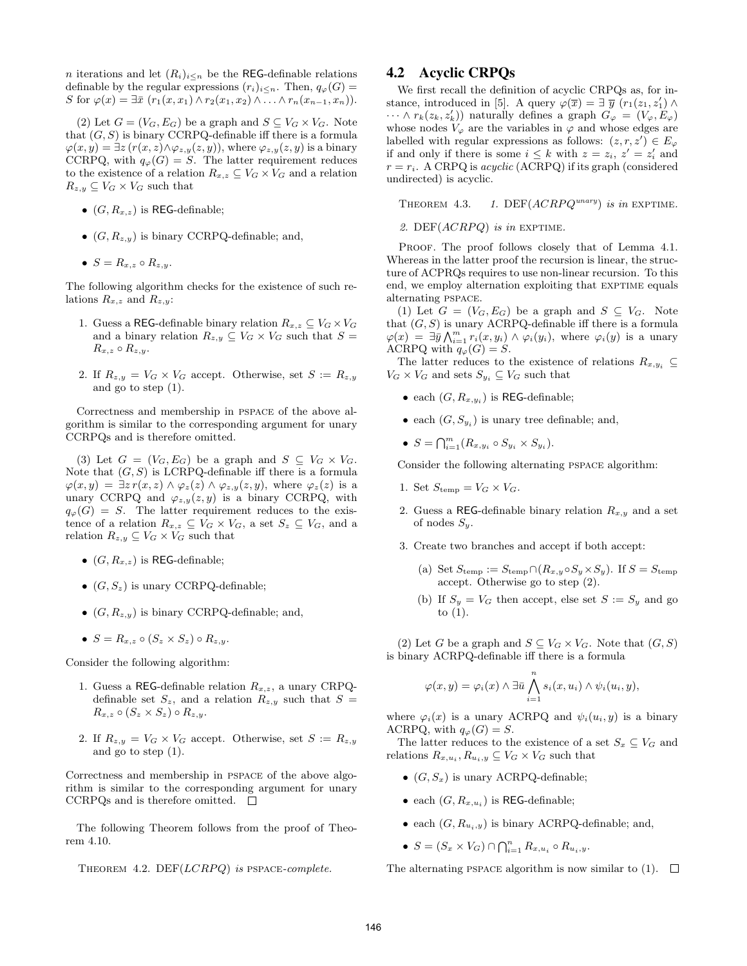*n* iterations and let  $(R_i)_{i \leq n}$  be the REG-definable relations definable by the regular expressions  $(r_i)_{i\leq n}$ . Then,  $q_\varphi(G)$  = S for  $\varphi(x) = \exists \bar{x} \ (r_1(x, x_1) \wedge r_2(x_1, x_2) \wedge \ldots \wedge r_n(x_{n-1}, x_n)).$ 

(2) Let  $G = (V_G, E_G)$  be a graph and  $S \subseteq V_G \times V_G$ . Note that  $(G, S)$  is binary CCRPQ-definable iff there is a formula  $\varphi(x,y) = \exists z (r(x,z) \wedge \varphi_{z,y}(z,y))$ , where  $\varphi_{z,y}(z,y)$  is a binary CCRPQ, with  $q_{\varphi}(G) = S$ . The latter requirement reduces to the existence of a relation  $R_{x,z} \subseteq V_G \times V_G$  and a relation  $R_{z,y} \subseteq V_G \times V_G$  such that

- $(G, R_{x,z})$  is REG-definable;
- $(G, R_{z,y})$  is binary CCRPQ-definable; and,
- $S = R_{x,z} \circ R_{z,y}$ .

The following algorithm checks for the existence of such relations  $R_{x,z}$  and  $R_{z,y}$ :

- 1. Guess a REG-definable binary relation  $R_{x,z} \subseteq V_G \times V_G$ and a binary relation  $R_{z,y} \subseteq V_G \times V_G$  such that  $S =$  $R_{x,z} \circ R_{z,y}.$
- 2. If  $R_{z,y} = V_G \times V_G$  accept. Otherwise, set  $S := R_{z,y}$ and go to step (1).

Correctness and membership in pspace of the above algorithm is similar to the corresponding argument for unary CCRPQs and is therefore omitted.

(3) Let  $G = (V_G, E_G)$  be a graph and  $S \subseteq V_G \times V_G$ . Note that  $(G, S)$  is LCRPQ-definable iff there is a formula  $\varphi(x,y) = \exists z \, r(x,z) \land \varphi_z(z) \land \varphi_{z,y}(z,y)$ , where  $\varphi_z(z)$  is a unary CCRPQ and  $\varphi_{z,y}(z, y)$  is a binary CCRPQ, with  $q_{\varphi}(G) = S$ . The latter requirement reduces to the existence of a relation  $R_{x,z} \subseteq V_G \times V_G$ , a set  $S_z \subseteq V_G$ , and a relation  $R_{z,y} \subseteq V_G \times V_G$  such that

- $(G, R_{x,z})$  is REG-definable;
- $(G, S_z)$  is unary CCRPQ-definable;
- $(G, R_{z,y})$  is binary CCRPQ-definable; and,
- $S = R_{x,z} \circ (S_z \times S_z) \circ R_{z,y}$ .

Consider the following algorithm:

- 1. Guess a REG-definable relation  $R_{x,z}$ , a unary CRPQdefinable set  $S_z$ , and a relation  $R_{z,y}$  such that  $S =$  $R_{x,z} \circ (S_z \times S_z) \circ R_{z,y}.$
- 2. If  $R_{z,y} = V_G \times V_G$  accept. Otherwise, set  $S := R_{z,y}$ and go to step (1).

Correctness and membership in pspace of the above algorithm is similar to the corresponding argument for unary CCRPQs and is therefore omitted.  $\square$ 

The following Theorem follows from the proof of Theorem 4.10.

# 4.2 Acyclic CRPQs

We first recall the definition of acyclic CRPQs as, for instance, introduced in [5]. A query  $\varphi(\overline{x}) = \exists \overline{y} (r_1(z_1, z'_1) \wedge$  $\cdots \wedge r_k(z_k, z'_k)$  naturally defines a graph  $G_{\varphi} = (V_{\varphi}, E_{\varphi})$ whose nodes  $V_{\varphi}$  are the variables in  $\varphi$  and whose edges are labelled with regular expressions as follows:  $(z, r, z') \in E_{\varphi}$ if and only if there is some  $i \leq k$  with  $z = z_i$ ,  $z' = z'_i$  and  $r = r_i$ . A CRPQ is *acyclic* (ACRPQ) if its graph (considered undirected) is acyclic.

THEOREM 4.3. 1. DEF $(ACRPQ^{unary})$  is in EXPTIME.

2. DEF $(ACRPQ)$  is in EXPTIME.

PROOF. The proof follows closely that of Lemma 4.1. Whereas in the latter proof the recursion is linear, the structure of ACPRQs requires to use non-linear recursion. To this end, we employ alternation exploiting that EXPTIME equals alternating pspace.

(1) Let  $G = (V_G, E_G)$  be a graph and  $S \subseteq V_G$ . Note that  $(G, S)$  is unary ACRPQ-definable iff there is a formula  $\varphi(x) = \exists \overline{y} \bigwedge_{i=1}^{m} r_i(x, y_i) \wedge \varphi_i(y_i)$ , where  $\varphi_i(y)$  is a unary ACRPQ with  $q_{\varphi}(G) = S$ .

The latter reduces to the existence of relations  $R_{x,y_i} \subseteq$  $V_G \times V_G$  and sets  $S_{y_i} \subseteq V_G$  such that

- each  $(G, R_{x,y_i})$  is REG-definable;
- each  $(G, S_{y_i})$  is unary tree definable; and,
- $S = \bigcap_{i=1}^{m} (R_{x,y_i} \circ S_{y_i} \times S_{y_i}).$

Consider the following alternating pspace algorithm:

- 1. Set  $S_{\text{temp}} = V_G \times V_G$ .
- 2. Guess a REG-definable binary relation  $R_{x,y}$  and a set of nodes  $S_y$ .
- 3. Create two branches and accept if both accept:
	- (a) Set  $S_{temp} := S_{temp} \cap (R_{x,y} \circ S_y \times S_y)$ . If  $S = S_{temp}$ accept. Otherwise go to step (2).
	- (b) If  $S_y = V_G$  then accept, else set  $S := S_y$  and go to (1).

(2) Let G be a graph and  $S \subseteq V_G \times V_G$ . Note that  $(G, S)$ is binary ACRPQ-definable iff there is a formula

$$
\varphi(x,y) = \varphi_i(x) \land \exists \bar{u} \bigwedge_{i=1}^n s_i(x,u_i) \land \psi_i(u_i,y),
$$

where  $\varphi_i(x)$  is a unary ACRPQ and  $\psi_i(u_i, y)$  is a binary ACRPQ, with  $q_{\varphi}(G) = S$ .

The latter reduces to the existence of a set  $S_x \subseteq V_G$  and relations  $R_{x,u_i}, R_{u_i,y} \subseteq V_G \times V_G$  such that

- $(G, S_x)$  is unary ACRPQ-definable;
- each  $(G, R_{x,u_i})$  is REG-definable;
- each  $(G, R_{u_i,y})$  is binary ACRPQ-definable; and,
- $S = (S_x \times V_G) \cap \bigcap_{i=1}^n R_{x,u_i} \circ R_{u_i,y}.$

The alternating PSPACE algorithm is now similar to (1).  $\Box$ 

THEOREM 4.2. DEF $(LCRPQ)$  is PSPACE-complete.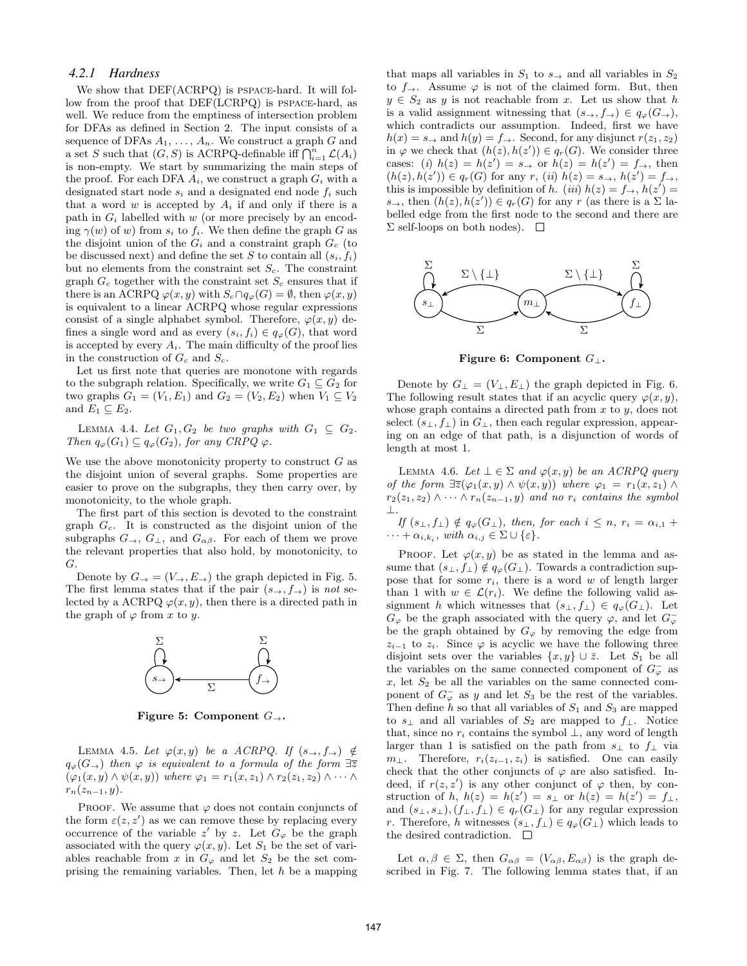#### *4.2.1 Hardness*

We show that DEF(ACRPQ) is pspace-hard. It will follow from the proof that DEF(LCRPQ) is pspace-hard, as well. We reduce from the emptiness of intersection problem for DFAs as defined in Section 2. The input consists of a sequence of DFAs  $A_1, \ldots, A_n$ . We construct a graph G and a set S such that  $(G, S)$  is ACRPQ-definable iff  $\bigcap_{i=1}^{n} \mathcal{L}(A_i)$ is non-empty. We start by summarizing the main steps of the proof. For each DFA  $A_i$ , we construct a graph  $G_i$  with a designated start node  $s_i$  and a designated end node  $f_i$  such that a word w is accepted by  $A_i$  if and only if there is a path in  $G_i$  labelled with w (or more precisely by an encoding  $\gamma(w)$  of w) from  $s_i$  to  $f_i$ . We then define the graph G as the disjoint union of the  $G_i$  and a constraint graph  $G_c$  (to be discussed next) and define the set S to contain all  $(s_i, f_i)$ but no elements from the constraint set  $S_c$ . The constraint graph  $G_c$  together with the constraint set  $S_c$  ensures that if there is an ACRPQ  $\varphi(x, y)$  with  $S_c \cap q_\varphi(G) = \emptyset$ , then  $\varphi(x, y)$ is equivalent to a linear ACRPQ whose regular expressions consist of a single alphabet symbol. Therefore,  $\varphi(x, y)$  defines a single word and as every  $(s_i, f_i) \in q_\varphi(G)$ , that word is accepted by every  $A_i$ . The main difficulty of the proof lies in the construction of  $G_c$  and  $S_c$ .

Let us first note that queries are monotone with regards to the subgraph relation. Specifically, we write  $G_1 \subseteq G_2$  for two graphs  $G_1 = (V_1, E_1)$  and  $G_2 = (V_2, E_2)$  when  $V_1 \subseteq V_2$ and  $E_1 \subseteq E_2$ .

LEMMA 4.4. Let  $G_1, G_2$  be two graphs with  $G_1 \subseteq G_2$ . Then  $q_{\varphi}(G_1) \subseteq q_{\varphi}(G_2)$ , for any CRPQ  $\varphi$ .

We use the above monotonicity property to construct  $G$  as the disjoint union of several graphs. Some properties are easier to prove on the subgraphs, they then carry over, by monotonicity, to the whole graph.

The first part of this section is devoted to the constraint graph  $G_c$ . It is constructed as the disjoint union of the subgraphs  $G_{\rightarrow}$ ,  $G_{\perp}$ , and  $G_{\alpha\beta}$ . For each of them we prove the relevant properties that also hold, by monotonicity, to G.

Denote by  $G_{\rightarrow} = (V_{\rightarrow}, E_{\rightarrow})$  the graph depicted in Fig. 5. The first lemma states that if the pair  $(s\rightarrow, f\rightarrow)$  is not selected by a ACRPQ  $\varphi(x, y)$ , then there is a directed path in the graph of  $\varphi$  from x to y.



Figure 5: Component  $G_{\rightarrow}$ .

LEMMA 4.5. Let  $\varphi(x, y)$  be a ACRPQ. If  $(s\rightarrow, f\rightarrow) \notin$  $q_{\varphi}(G_{\rightarrow})$  then  $\varphi$  is equivalent to a formula of the form  $\exists \overline{z}$  $(\varphi_1(x, y) \wedge \psi(x, y))$  where  $\varphi_1 = r_1(x, z_1) \wedge r_2(z_1, z_2) \wedge \cdots \wedge$  $r_n(z_{n-1}, y)$ .

PROOF. We assume that  $\varphi$  does not contain conjuncts of the form  $\varepsilon(z, z')$  as we can remove these by replacing every occurrence of the variable z' by z. Let  $G_{\varphi}$  be the graph associated with the query  $\varphi(x, y)$ . Let  $S_1$  be the set of variables reachable from x in  $G_{\varphi}$  and let  $S_2$  be the set comprising the remaining variables. Then, let h be a mapping that maps all variables in  $S_1$  to  $s_{\rightarrow}$  and all variables in  $S_2$ to  $f_{\rightarrow}$ . Assume  $\varphi$  is not of the claimed form. But, then  $y \in S_2$  as y is not reachable from x. Let us show that h is a valid assignment witnessing that  $(s_\rightarrow, f_\rightarrow) \in q_\varphi(G_\rightarrow)$ , which contradicts our assumption. Indeed, first we have  $h(x) = s_{\rightarrow}$  and  $h(y) = f_{\rightarrow}$ . Second, for any disjunct  $r(z_1, z_2)$ in  $\varphi$  we check that  $(h(z), h(z')) \in q_r(G)$ . We consider three cases: (i)  $h(z) = h(z') = s \rightarrow \text{or } h(z) = h(z') = f \rightarrow$ , then  $(h(z), h(z')) \in q_r(G)$  for any  $r, (ii)$   $h(z) = s_\rightarrow, h(z') = f_\rightarrow,$ this is impossible by definition of h. (iii)  $h(z) = f_{\rightarrow}$ ,  $h(z') =$  $s_{\rightarrow}$ , then  $(h(z), h(z')) \in q_r(G)$  for any r (as there is a  $\Sigma$  labelled edge from the first node to the second and there are  $\Sigma$  self-loops on both nodes).  $\square$ 



Figure 6: Component  $G_{\perp}$ .

Denote by  $G_{\perp} = (V_{\perp}, E_{\perp})$  the graph depicted in Fig. 6. The following result states that if an acyclic query  $\varphi(x, y)$ , whose graph contains a directed path from  $x$  to  $y$ , does not select  $(s_{\perp}, f_{\perp})$  in  $G_{\perp}$ , then each regular expression, appearing on an edge of that path, is a disjunction of words of length at most 1.

LEMMA 4.6. Let  $\bot \in \Sigma$  and  $\varphi(x, y)$  be an ACRPQ query of the form  $\exists \overline{z}(\varphi_1(x, y) \wedge \psi(x, y))$  where  $\varphi_1 = r_1(x, z_1) \wedge \varphi(x, y)$  $r_2(z_1, z_2) \wedge \cdots \wedge r_n(z_{n-1}, y)$  and no  $r_i$  contains the symbol ⊥.

If  $(s_{\perp}, f_{\perp}) \notin q_{\varphi}(G_{\perp}),$  then, for each  $i \leq n$ ,  $r_i = \alpha_{i,1} +$  $\cdots + \alpha_{i,k_i}, \text{ with } \alpha_{i,j} \in \Sigma \cup \{\varepsilon\}.$ 

PROOF. Let  $\varphi(x, y)$  be as stated in the lemma and assume that  $(s_{\perp}, f_{\perp}) \notin q_{\varphi}(G_{\perp}).$  Towards a contradiction suppose that for some  $r_i$ , there is a word w of length larger than 1 with  $w \in \mathcal{L}(r_i)$ . We define the following valid assignment h which witnesses that  $(s_{\perp}, f_{\perp}) \in q_{\varphi}(G_{\perp})$ . Let  $G_{\varphi}$  be the graph associated with the query  $\varphi$ , and let  $G_{\varphi}^$ be the graph obtained by  $G_{\varphi}$  by removing the edge from  $z_{i-1}$  to  $z_i$ . Since  $\varphi$  is acyclic we have the following three disjoint sets over the variables  $\{x, y\} \cup \overline{z}$ . Let  $S_1$  be all the variables on the same connected component of  $G_{\varphi}^-$  as  $x$ , let  $S_2$  be all the variables on the same connected component of  $G_{\varphi}$  as y and let  $S_3$  be the rest of the variables. Then define h so that all variables of  $S_1$  and  $S_3$  are mapped to  $s_\perp$  and all variables of  $S_2$  are mapped to  $f_\perp$ . Notice that, since no  $r_i$  contains the symbol  $\perp$ , any word of length larger than 1 is satisfied on the path from  $s_{\perp}$  to  $f_{\perp}$  via  $m_\perp$ . Therefore,  $r_i(z_{i-1}, z_i)$  is satisfied. One can easily check that the other conjuncts of  $\varphi$  are also satisfied. Indeed, if  $r(z, z')$  is any other conjunct of  $\varphi$  then, by construction of h,  $h(z) = h(z') = s_{\perp}$  or  $h(z) = h(z') = f_{\perp}$ , and  $(s_{\perp}, s_{\perp}), (f_{\perp}, f_{\perp}) \in q_r(G_{\perp})$  for any regular expression r. Therefore, h witnesses  $(s_{\perp}, f_{\perp}) \in q_{\varphi}(G_{\perp})$  which leads to the desired contradiction.  $\Box$ 

Let  $\alpha, \beta \in \Sigma$ , then  $G_{\alpha\beta} = (V_{\alpha\beta}, E_{\alpha\beta})$  is the graph described in Fig. 7. The following lemma states that, if an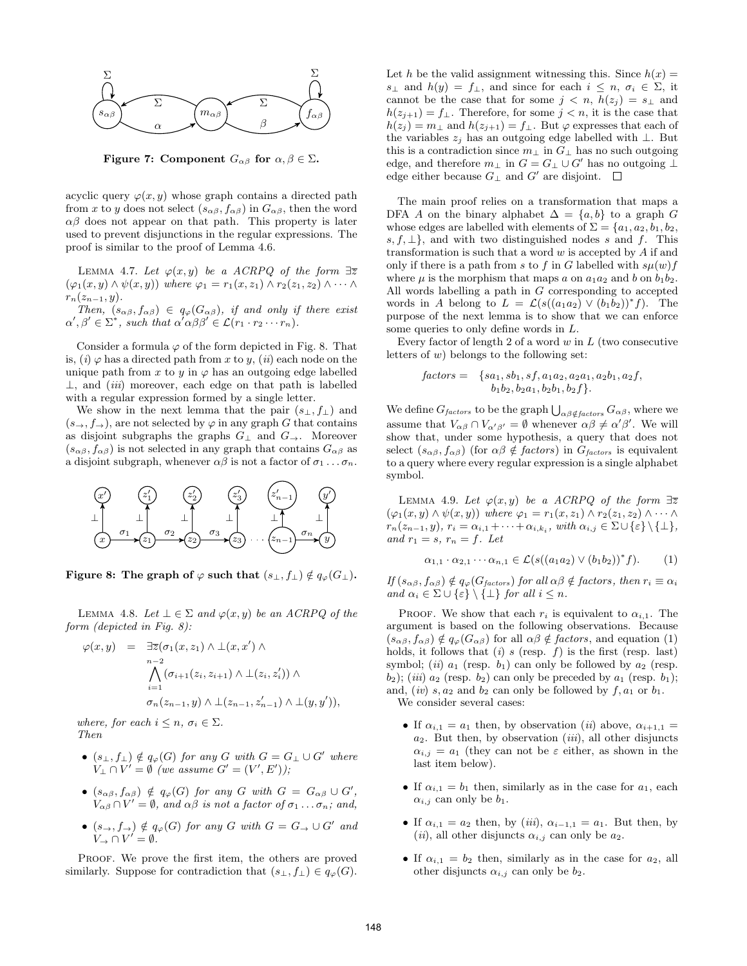

Figure 7: Component  $G_{\alpha\beta}$  for  $\alpha, \beta \in \Sigma$ .

acyclic query  $\varphi(x, y)$  whose graph contains a directed path from x to y does not select  $(s_{\alpha\beta}, f_{\alpha\beta})$  in  $G_{\alpha\beta}$ , then the word  $\alpha\beta$  does not appear on that path. This property is later used to prevent disjunctions in the regular expressions. The proof is similar to the proof of Lemma 4.6.

LEMMA 4.7. Let  $\varphi(x, y)$  be a ACRPQ of the form  $\exists \overline{z}$  $(\varphi_1(x, y) \wedge \psi(x, y))$  where  $\varphi_1 = r_1(x, z_1) \wedge r_2(z_1, z_2) \wedge \cdots \wedge r_k$  $r_n(z_{n-1}, y)$ .

Then,  $(s_{\alpha\beta}, f_{\alpha\beta}) \in q_{\varphi}(G_{\alpha\beta})$ , if and only if there exist  $\alpha', \beta' \in \Sigma^*$ , such that  $\alpha' \alpha \beta \beta' \in \mathcal{L}(r_1 \cdot r_2 \cdots r_n)$ .

Consider a formula  $\varphi$  of the form depicted in Fig. 8. That is,  $(i) \varphi$  has a directed path from x to y,  $(ii)$  each node on the unique path from x to y in  $\varphi$  has an outgoing edge labelled  $\perp$ , and *(iii)* moreover, each edge on that path is labelled with a regular expression formed by a single letter.

We show in the next lemma that the pair  $(s_{\perp}, f_{\perp})$  and  $(s\rightarrow, f\rightarrow)$ , are not selected by  $\varphi$  in any graph G that contains as disjoint subgraphs the graphs  $G_{\perp}$  and  $G_{\rightarrow}$ . Moreover  $(s_{\alpha\beta}, f_{\alpha\beta})$  is not selected in any graph that contains  $G_{\alpha\beta}$  as a disjoint subgraph, whenever  $\alpha\beta$  is not a factor of  $\sigma_1 \dots \sigma_n$ .



Figure 8: The graph of  $\varphi$  such that  $(s_{\perp}, f_{\perp}) \notin q_{\varphi}(G_{\perp}).$ 

LEMMA 4.8. Let  $\bot \in \Sigma$  and  $\varphi(x, y)$  be an ACRPQ of the form (depicted in Fig. 8):

$$
\varphi(x,y) = \exists \overline{z}(\sigma_1(x,z_1) \land \bot(x,x') \land \n\bigwedge_{i=1}^{n-2} (\sigma_{i+1}(z_i,z_{i+1}) \land \bot(z_i,z'_i)) \land \n\sigma_n(z_{n-1},y) \land \bot(z_{n-1},z'_{n-1}) \land \bot(y,y')),
$$

where, for each  $i \leq n$ ,  $\sigma_i \in \Sigma$ . Then

- $(s_{\perp}, f_{\perp}) \notin q_{\varphi}(G)$  for any G with  $G = G_{\perp} \cup G'$  where  $V_{\perp} \cap V' = \emptyset$  (we assume  $G' = (V', E')$ );
- $(s_{\alpha\beta}, f_{\alpha\beta}) \notin q_{\varphi}(G)$  for any G with  $G = G_{\alpha\beta} \cup G'$ ,  $V_{\alpha\beta} \cap V' = \emptyset$ , and  $\alpha\beta$  is not a factor of  $\sigma_1 \dots \sigma_n$ ; and,
- $(s\rightarrow, f\rightarrow) \notin q_{\varphi}(G)$  for any G with  $G = G_{\rightarrow} \cup G'$  and  $V_{\rightarrow} \cap V' = \emptyset.$

PROOF. We prove the first item, the others are proved similarly. Suppose for contradiction that  $(s_{\perp}, f_{\perp}) \in q_{\varphi}(G)$ .

Let h be the valid assignment witnessing this. Since  $h(x) =$  $s_\perp$  and  $h(y) = f_\perp$ , and since for each  $i \leq n, \sigma_i \in \Sigma$ , it cannot be the case that for some  $j < n$ ,  $h(z_j) = s_{\perp}$  and  $h(z_{j+1}) = f_{\perp}$ . Therefore, for some  $j < n$ , it is the case that  $h(z_j) = m_{\perp}$  and  $h(z_{j+1}) = f_{\perp}$ . But  $\varphi$  expresses that each of the variables  $z_j$  has an outgoing edge labelled with  $\bot$ . But this is a contradiction since  $m_\perp$  in  $G_\perp$  has no such outgoing edge, and therefore  $m_{\perp}$  in  $G = G_{\perp} \cup G'$  has no outgoing  $\perp$ edge either because  $G_{\perp}$  and  $G'$  are disjoint.

The main proof relies on a transformation that maps a DFA A on the binary alphabet  $\Delta = \{a, b\}$  to a graph G whose edges are labelled with elements of  $\Sigma = \{a_1, a_2, b_1, b_2,$ s,  $f, \perp$ , and with two distinguished nodes s and f. This transformation is such that a word  $w$  is accepted by  $A$  if and only if there is a path from s to f in G labelled with  $s\mu(w)f$ where  $\mu$  is the morphism that maps a on  $a_1a_2$  and b on  $b_1b_2$ . All words labelling a path in G corresponding to accepted words in A belong to  $L = \mathcal{L}(s((a_1a_2) \vee (b_1b_2))^* f)$ . The purpose of the next lemma is to show that we can enforce some queries to only define words in L.

Every factor of length 2 of a word  $w$  in  $L$  (two consecutive letters of  $w$ ) belongs to the following set:

$$
factors = \{sa_1, sb_1, sf, a_1a_2, a_2a_1, a_2b_1, a_2f, b_1b_2, b_2a_1, b_2b_1, b_2f\}.
$$

We define  $G_{factors}$  to be the graph  $\bigcup_{\alpha\beta \notin factors} G_{\alpha\beta}$ , where we assume that  $V_{\alpha\beta} \cap V_{\alpha'\beta'} = \emptyset$  whenever  $\alpha\beta \neq \alpha'\beta'$ . We will show that, under some hypothesis, a query that does not select  $(s_{\alpha\beta}, f_{\alpha\beta})$  (for  $\alpha\beta \notin factors$ ) in  $G_{factors}$  is equivalent to a query where every regular expression is a single alphabet symbol.

LEMMA 4.9. Let  $\varphi(x, y)$  be a ACRPQ of the form  $\exists \overline{z}$  $(\varphi_1(x, y) \wedge \psi(x, y))$  where  $\varphi_1 = r_1(x, z_1) \wedge r_2(z_1, z_2) \wedge \cdots \wedge r_n$  $r_n(z_{n-1}, y), r_i = \alpha_{i,1} + \cdots + \alpha_{i,k_i}, \text{ with } \alpha_{i,j} \in \Sigma \cup \{\varepsilon\} \setminus \{\bot\},\$ and  $r_1 = s$ ,  $r_n = f$ . Let

$$
\alpha_{1,1} \cdot \alpha_{2,1} \cdots \alpha_{n,1} \in \mathcal{L}(s((a_1 a_2) \vee (b_1 b_2))^* f). \qquad (1)
$$

If  $(s_{\alpha\beta}, f_{\alpha\beta}) \notin q_{\varphi}(G_{factors})$  for all  $\alpha\beta \notin factors$ , then  $r_i \equiv \alpha_i$ and  $\alpha_i \in \Sigma \cup \{\varepsilon\} \setminus \{\bot\}$  for all  $i \leq n$ .

PROOF. We show that each  $r_i$  is equivalent to  $\alpha_{i,1}$ . The argument is based on the following observations. Because  $(s_{\alpha\beta}, f_{\alpha\beta}) \notin q_\varphi(G_{\alpha\beta})$  for all  $\alpha\beta \notin factors$ , and equation (1) holds, it follows that (i) s (resp. f) is the first (resp. last) symbol; (ii)  $a_1$  (resp.  $b_1$ ) can only be followed by  $a_2$  (resp.  $b_2$ ); (*iii*)  $a_2$  (resp.  $b_2$ ) can only be preceded by  $a_1$  (resp.  $b_1$ ); and,  $(iv)$  s,  $a_2$  and  $b_2$  can only be followed by  $f$ ,  $a_1$  or  $b_1$ .

We consider several cases:

- If  $\alpha_{i,1} = a_1$  then, by observation (*ii*) above,  $\alpha_{i+1,1} =$  $a_2$ . But then, by observation (*iii*), all other disjuncts  $\alpha_{i,j} = a_1$  (they can not be  $\varepsilon$  either, as shown in the last item below).
- If  $\alpha_{i,1} = b_1$  then, similarly as in the case for  $a_1$ , each  $\alpha_{i,j}$  can only be  $b_1$ .
- If  $\alpha_{i,1} = a_2$  then, by (iii),  $\alpha_{i-1,1} = a_1$ . But then, by (*ii*), all other disjuncts  $\alpha_{i,j}$  can only be  $a_2$ .
- If  $\alpha_{i,1} = b_2$  then, similarly as in the case for  $a_2$ , all other disjuncts  $\alpha_{i,j}$  can only be  $b_2$ .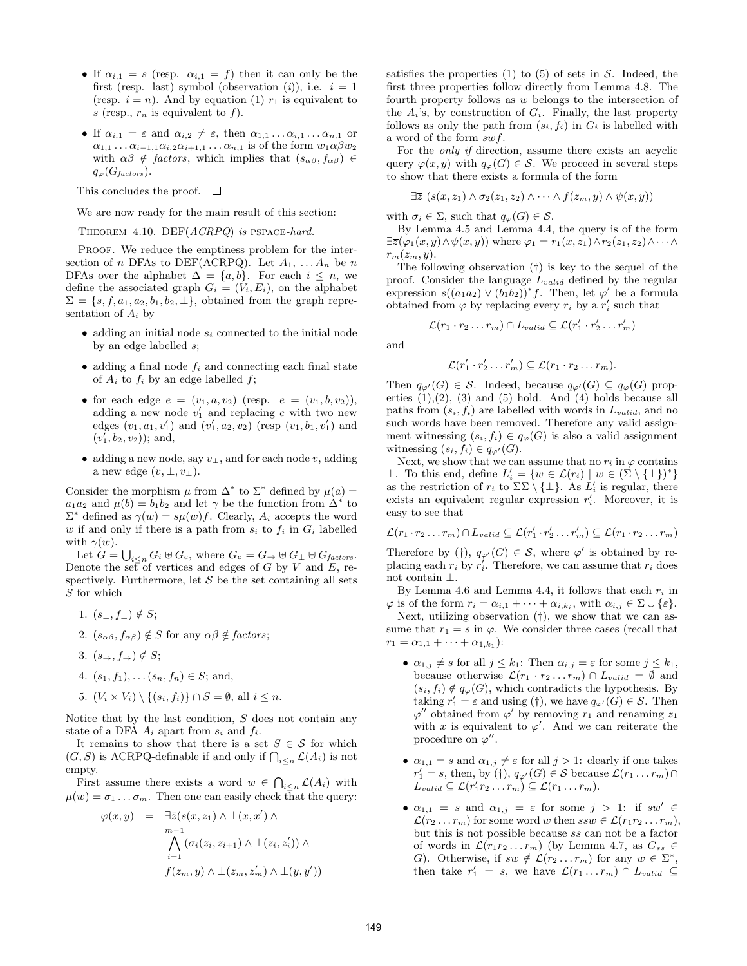- If  $\alpha_{i,1} = s$  (resp.  $\alpha_{i,1} = f$ ) then it can only be the first (resp. last) symbol (observation (i)), i.e.  $i = 1$ (resp.  $i = n$ ). And by equation (1)  $r_1$  is equivalent to s (resp.,  $r_n$  is equivalent to f).
- If  $\alpha_{i,1} = \varepsilon$  and  $\alpha_{i,2} \neq \varepsilon$ , then  $\alpha_{1,1} \ldots \alpha_{i,1} \ldots \alpha_{n,1}$  or  $\alpha_{1,1} \ldots \alpha_{i-1,1} \alpha_{i,2} \alpha_{i+1,1} \ldots \alpha_{n,1}$  is of the form  $w_1 \alpha \beta w_2$ with  $\alpha\beta \notin factors$ , which implies that  $(s_{\alpha\beta}, f_{\alpha\beta}) \in$  $q_{\varphi}(G_{factors}).$

This concludes the proof.  $\square$ 

We are now ready for the main result of this section:

THEOREM 4.10. DEF(ACRPQ) is PSPACE-hard.

PROOF. We reduce the emptiness problem for the intersection of n DFAs to DEF(ACRPQ). Let  $A_1, \ldots, A_n$  be n DFAs over the alphabet  $\Delta = \{a, b\}$ . For each  $i \leq n$ , we define the associated graph  $G_i = (V_i, E_i)$ , on the alphabet  $\Sigma = \{s, f, a_1, a_2, b_1, b_2, \perp\}$ , obtained from the graph representation of  $A_i$  by

- adding an initial node  $s_i$  connected to the initial node by an edge labelled s;
- adding a final node  $f_i$  and connecting each final state of  $A_i$  to  $f_i$  by an edge labelled  $f$ ;
- for each edge  $e = (v_1, a, v_2)$  (resp.  $e = (v_1, b, v_2)$ ), adding a new node  $v'_1$  and replacing e with two new edges  $(v_1, a_1, v'_1)$  and  $(v'_1, a_2, v_2)$  (resp  $(v_1, b_1, v'_1)$  and  $(v'_1, b_2, v_2)$ ; and,
- adding a new node, say  $v_{\perp}$ , and for each node v, adding a new edge  $(v, \perp, v_\perp)$ .

Consider the morphism  $\mu$  from  $\Delta^*$  to  $\Sigma^*$  defined by  $\mu(a)$  =  $a_1a_2$  and  $\mu(b) = b_1b_2$  and let  $\gamma$  be the function from  $\Delta^*$  to  $\Sigma^*$  defined as  $\gamma(w) = s\mu(w)f$ . Clearly,  $A_i$  accepts the word w if and only if there is a path from  $s_i$  to  $f_i$  in  $G_i$  labelled with  $\gamma(w)$ .

Let  $G = \bigcup_{i \leq n} G_i \uplus G_c$ , where  $G_c = G_{\rightarrow} \uplus G_{\perp} \uplus G_{factors}$ . Denote the set of vertices and edges of G by V and E, respectively. Furthermore, let  $S$  be the set containing all sets S for which

- 1.  $(s_{\perp}, f_{\perp}) \notin S;$
- 2.  $(s_{\alpha\beta}, f_{\alpha\beta}) \notin S$  for any  $\alpha\beta \notin factors;$
- 3.  $(s\rightarrow, f\rightarrow) \notin S;$
- 4.  $(s_1, f_1), \ldots (s_n, f_n) \in S$ ; and,
- 5.  $(V_i \times V_i) \setminus \{(s_i, f_i)\}\cap S = \emptyset$ , all  $i \leq n$ .

Notice that by the last condition,  $S$  does not contain any state of a DFA  $A_i$  apart from  $s_i$  and  $f_i$ .

It remains to show that there is a set  $S \in \mathcal{S}$  for which  $(G, S)$  is ACRPQ-definable if and only if  $\bigcap_{i \leq n} \mathcal{L}(A_i)$  is not empty.

First assume there exists a word  $w \in \bigcap_{i \leq n} \mathcal{L}(A_i)$  with  $\mu(w) = \sigma_1 \dots \sigma_m$ . Then one can easily check that the query:

$$
\varphi(x,y) = \exists \bar{z}(s(x,z_1) \land \bot(x,x') \land \nm-1 \land (\sigma_i(z_i,z_{i+1}) \land \bot(z_i,z'_i)) \land \nf(z_m,y) \land \bot(z_m,z'_m) \land \bot(y,y'))
$$

satisfies the properties (1) to (5) of sets in  $S$ . Indeed, the first three properties follow directly from Lemma 4.8. The fourth property follows as w belongs to the intersection of the  $A_i$ 's, by construction of  $G_i$ . Finally, the last property follows as only the path from  $(s_i, f_i)$  in  $G_i$  is labelled with a word of the form swf.

For the only if direction, assume there exists an acyclic query  $\varphi(x, y)$  with  $q_\varphi(G) \in \mathcal{S}$ . We proceed in several steps to show that there exists a formula of the form

$$
\exists \overline{z} \ (s(x, z_1) \land \sigma_2(z_1, z_2) \land \cdots \land f(z_m, y) \land \psi(x, y))
$$

with  $\sigma_i \in \Sigma$ , such that  $q_\varphi(G) \in \mathcal{S}$ .

By Lemma 4.5 and Lemma 4.4, the query is of the form  $\exists \overline{z}(\varphi_1(x,y) \land \psi(x,y))$  where  $\varphi_1 = r_1(x,z_1) \land r_2(z_1,z_2) \land \cdots \land$  $r_m(z_m, y)$ .

The following observation (†) is key to the sequel of the proof. Consider the language  $L_{valid}$  defined by the regular expression  $s((a_1a_2) \vee (b_1b_2))^*f$ . Then, let  $\varphi'$  be a formula obtained from  $\varphi$  by replacing every  $r_i$  by a  $r'_i$  such that

$$
\mathcal{L}(r_1 \cdot r_2 \dots r_m) \cap L_{valid} \subseteq \mathcal{L}(r'_1 \cdot r'_2 \dots r'_m)
$$

and

$$
\mathcal{L}(r'_1 \cdot r'_2 \ldots r'_m) \subseteq \mathcal{L}(r_1 \cdot r_2 \ldots r_m).
$$

Then  $q_{\varphi'}(G) \in \mathcal{S}$ . Indeed, because  $q_{\varphi'}(G) \subseteq q_{\varphi}(G)$  properties  $(1),(2), (3)$  and  $(5)$  hold. And  $(4)$  holds because all paths from  $(s_i, f_i)$  are labelled with words in  $L_{valid}$ , and no such words have been removed. Therefore any valid assignment witnessing  $(s_i, f_i) \in q_\varphi(G)$  is also a valid assignment witnessing  $(s_i, f_i) \in q_{\varphi'}(G)$ .

Next, we show that we can assume that no  $r_i$  in  $\varphi$  contains ⊥. To this end, define  $L'_i = \{w \in \mathcal{L}(r_i) \mid w \in (\Sigma \setminus {\{\perp\}})^* \}$ as the restriction of  $r_i$  to  $\Sigma \Sigma \setminus {\{\perp\}}$ . As  $L'_i$  is regular, there exists an equivalent regular expression  $r_i'$ . Moreover, it is easy to see that

$$
\mathcal{L}(r_1 \cdot r_2 \dots r_m) \cap L_{valid} \subseteq \mathcal{L}(r'_1 \cdot r'_2 \dots r'_m) \subseteq \mathcal{L}(r_1 \cdot r_2 \dots r_m)
$$

Therefore by (†),  $q_{\varphi'}(G) \in \mathcal{S}$ , where  $\varphi'$  is obtained by replacing each  $r_i$  by  $r'_i$ . Therefore, we can assume that  $r_i$  does not contain ⊥.

By Lemma 4.6 and Lemma 4.4, it follows that each  $r_i$  in  $\varphi$  is of the form  $r_i = \alpha_{i,1} + \cdots + \alpha_{i,k_i}$ , with  $\alpha_{i,j} \in \Sigma \cup \{\varepsilon\}.$ 

Next, utilizing observation (†), we show that we can assume that  $r_1 = s$  in  $\varphi$ . We consider three cases (recall that  $r_1 = \alpha_{1,1} + \cdots + \alpha_{1,k_1}$ :

- $\alpha_{1,j} \neq s$  for all  $j \leq k_1$ : Then  $\alpha_{i,j} = \varepsilon$  for some  $j \leq k_1$ , because otherwise  $\mathcal{L}(r_1 \cdot r_2 \dots r_m) \cap L_{valid} = \emptyset$  and  $(s_i, f_i) \notin q_\varphi(G)$ , which contradicts the hypothesis. By taking  $r'_1 = \varepsilon$  and using (†), we have  $q_{\varphi'}(G) \in \mathcal{S}$ . Then  $\varphi''$  obtained from  $\varphi'$  by removing  $r_1$  and renaming  $z_1$ with x is equivalent to  $\varphi'$ . And we can reiterate the procedure on  $\varphi''$ .
- $\alpha_{1,1} = s$  and  $\alpha_{1,j} \neq \varepsilon$  for all  $j > 1$ : clearly if one takes  $r'_1 = s$ , then, by (†),  $q_{\varphi'}(G) \in \mathcal{S}$  because  $\mathcal{L}(r_1 \dots r_m) \cap$  $L_{valid} \subseteq \mathcal{L}(r'_1r_2\ldots r_m) \subseteq \mathcal{L}(r_1\ldots r_m).$
- $\alpha_{1,1} = s$  and  $\alpha_{1,j} = \varepsilon$  for some  $j > 1$ : if  $sw' \in$  $\mathcal{L}(r_2 \dots r_m)$  for some word w then  $ssw \in \mathcal{L}(r_1r_2 \dots r_m)$ , but this is not possible because ss can not be a factor of words in  $\mathcal{L}(r_1r_2 \ldots r_m)$  (by Lemma 4.7, as  $G_{ss} \in$ G). Otherwise, if  $sw \notin \mathcal{L}(r_2 \dots r_m)$  for any  $w \in \Sigma^*$ , then take  $r'_1 = s$ , we have  $\mathcal{L}(r_1 \dots r_m) \cap L_{valid} \subseteq$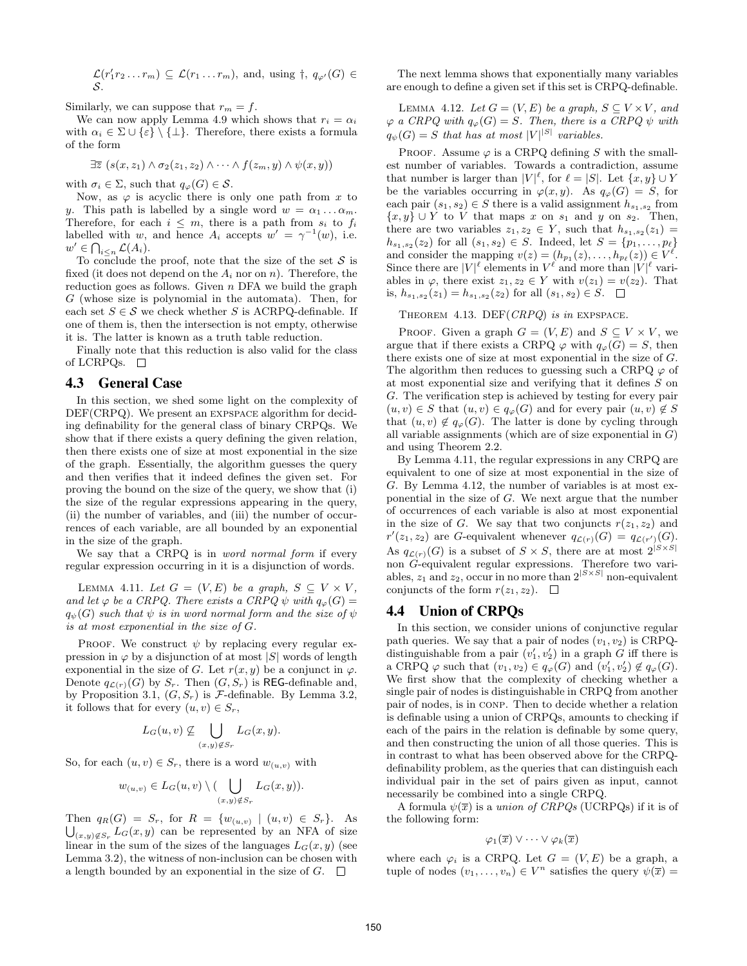$\mathcal{L}(r'_1r_2\ldots r_m) \subseteq \mathcal{L}(r_1\ldots r_m)$ , and, using  $\dagger$ ,  $q_{\varphi'}(G) \in$ S.

Similarly, we can suppose that  $r_m = f$ .

We can now apply Lemma 4.9 which shows that  $r_i = \alpha_i$ with  $\alpha_i \in \Sigma \cup \{\varepsilon\} \setminus {\{\perp\}}$ . Therefore, there exists a formula of the form

$$
\exists \overline{z} \ (s(x, z_1) \land \sigma_2(z_1, z_2) \land \cdots \land f(z_m, y) \land \psi(x, y))
$$

with  $\sigma_i \in \Sigma$ , such that  $q_{\varphi}(G) \in \mathcal{S}$ .

Now, as  $\varphi$  is acyclic there is only one path from x to y. This path is labelled by a single word  $w = \alpha_1 \dots \alpha_m$ . Therefore, for each  $i \leq m$ , there is a path from  $s_i$  to  $f_i$ labelled with w, and hence  $A_i$  accepts  $w' = \gamma^{-1}(w)$ , i.e.  $w' \in \bigcap_{i \leq n} \mathcal{L}(A_i).$ 

To conclude the proof, note that the size of the set  $S$  is fixed (it does not depend on the  $A_i$  nor on n). Therefore, the reduction goes as follows. Given  $n$  DFA we build the graph  $G$  (whose size is polynomial in the automata). Then, for each set  $S \in \mathcal{S}$  we check whether S is ACRPQ-definable. If one of them is, then the intersection is not empty, otherwise it is. The latter is known as a truth table reduction.

Finally note that this reduction is also valid for the class of LCRPQs.  $\square$ 

#### 4.3 General Case

In this section, we shed some light on the complexity of DEF(CRPQ). We present an expspace algorithm for deciding definability for the general class of binary CRPQs. We show that if there exists a query defining the given relation, then there exists one of size at most exponential in the size of the graph. Essentially, the algorithm guesses the query and then verifies that it indeed defines the given set. For proving the bound on the size of the query, we show that (i) the size of the regular expressions appearing in the query, (ii) the number of variables, and (iii) the number of occurrences of each variable, are all bounded by an exponential in the size of the graph.

We say that a CRPQ is in *word normal form* if every regular expression occurring in it is a disjunction of words.

LEMMA 4.11. Let  $G = (V, E)$  be a graph,  $S \subseteq V \times V$ , and let  $\varphi$  be a CRPQ. There exists a CRPQ  $\psi$  with  $q_{\varphi}(G) =$  $q_{\psi}(G)$  such that  $\psi$  is in word normal form and the size of  $\psi$ is at most exponential in the size of G.

PROOF. We construct  $\psi$  by replacing every regular expression in  $\varphi$  by a disjunction of at most  $|S|$  words of length exponential in the size of G. Let  $r(x, y)$  be a conjunct in  $\varphi$ . Denote  $q_{\mathcal{L}(r)}(G)$  by  $S_r$ . Then  $(G, S_r)$  is REG-definable and, by Proposition 3.1,  $(G, S_r)$  is F-definable. By Lemma 3.2, it follows that for every  $(u, v) \in S_r$ ,

$$
L_G(u, v) \nsubseteq \bigcup_{(x,y)\not\in S_r} L_G(x, y).
$$

So, for each  $(u, v) \in S_r$ , there is a word  $w_{(u, v)}$  with

$$
w_{(u,v)} \in L_G(u,v) \setminus (\bigcup_{(x,y)\notin S_r} L_G(x,y)).
$$

Then  $q_R(G) = S_r$ , for  $R = \{w_{(u,v)} \mid (u,v) \in S_r\}$ . As  $\bigcup_{(x,y)\notin S_r} L_G(x,y)$  can be represented by an NFA of size linear in the sum of the sizes of the languages  $L_G(x, y)$  (see Lemma 3.2), the witness of non-inclusion can be chosen with a length bounded by an exponential in the size of  $G$ .  $\Box$ 

The next lemma shows that exponentially many variables are enough to define a given set if this set is CRPQ-definable.

LEMMA 4.12. Let  $G = (V, E)$  be a graph,  $S \subseteq V \times V$ , and  $\varphi$  a CRPQ with  $q_{\varphi}(G) = S$ . Then, there is a CRPQ  $\psi$  with  $q_{\psi}(G) = S$  that has at most  $|V|^{|S|}$  variables.

PROOF. Assume  $\varphi$  is a CRPQ defining S with the smallest number of variables. Towards a contradiction, assume that number is larger than  $|V|^{\ell}$ , for  $\ell = |S|$ . Let  $\{x, y\} \cup Y$ be the variables occurring in  $\varphi(x, y)$ . As  $q_{\varphi}(G) = S$ , for each pair  $(s_1, s_2) \in S$  there is a valid assignment  $h_{s_1, s_2}$  from  ${x, y} \cup Y$  to V that maps x on  $s_1$  and y on  $s_2$ . Then, there are two variables  $z_1, z_2 \in Y$ , such that  $h_{s_1,s_2}(z_1) =$  $h_{s_1,s_2}(z_2)$  for all  $(s_1,s_2) \in S$ . Indeed, let  $S = \{p_1,\ldots,p_\ell\}$ and consider the mapping  $v(z) = (h_{p_1}(z), \ldots, h_{p_\ell}(z)) \in V^\ell$ . Since there are  $|V|^{\ell}$  elements in  $V^{\ell}$  and more than  $|V|^{\ell}$  variables in  $\varphi$ , there exist  $z_1, z_2 \in Y$  with  $v(z_1) = v(z_2)$ . That is,  $h_{s_1,s_2}(z_1) = h_{s_1,s_2}(z_2)$  for all  $(s_1,s_2) \in S$ .

THEOREM 4.13. DEF(CRPQ) is in EXPSPACE.

PROOF. Given a graph  $G = (V, E)$  and  $S \subseteq V \times V$ , we argue that if there exists a CRPQ  $\varphi$  with  $q_{\varphi}(G) = S$ , then there exists one of size at most exponential in the size of G. The algorithm then reduces to guessing such a CRPQ  $\varphi$  of at most exponential size and verifying that it defines S on G. The verification step is achieved by testing for every pair  $(u, v) \in S$  that  $(u, v) \in q_{\varphi}(G)$  and for every pair  $(u, v) \notin S$ that  $(u, v) \notin q_\varphi(G)$ . The latter is done by cycling through all variable assignments (which are of size exponential in  $G$ ) and using Theorem 2.2.

By Lemma 4.11, the regular expressions in any CRPQ are equivalent to one of size at most exponential in the size of G. By Lemma 4.12, the number of variables is at most exponential in the size of G. We next argue that the number of occurrences of each variable is also at most exponential in the size of G. We say that two conjuncts  $r(z_1, z_2)$  and  $r'(z_1, z_2)$  are G-equivalent whenever  $q_{\mathcal{L}(r)}(G) = q_{\mathcal{L}(r')}(G)$ . As  $q_{\mathcal{L}(r)}(G)$  is a subset of  $S \times S$ , there are at most  $2^{|S \times S|}$ non G-equivalent regular expressions. Therefore two variables,  $z_1$  and  $z_2$ , occur in no more than  $2^{|S \times S|}$  non-equivalent conjuncts of the form  $r(z_1, z_2)$ .  $\Box$ 

## 4.4 Union of CRPQs

In this section, we consider unions of conjunctive regular path queries. We say that a pair of nodes  $(v_1, v_2)$  is CRPQdistinguishable from a pair  $(v'_1, v'_2)$  in a graph G iff there is a CRPQ  $\varphi$  such that  $(v_1, v_2) \in q_\varphi(G)$  and  $(v'_1, v'_2) \notin q_\varphi(G)$ . We first show that the complexity of checking whether a single pair of nodes is distinguishable in CRPQ from another pair of nodes, is in conp. Then to decide whether a relation is definable using a union of CRPQs, amounts to checking if each of the pairs in the relation is definable by some query, and then constructing the union of all those queries. This is in contrast to what has been observed above for the CRPQdefinability problem, as the queries that can distinguish each individual pair in the set of pairs given as input, cannot necessarily be combined into a single CRPQ.

A formula  $\psi(\overline{x})$  is a union of CRPQs (UCRPQs) if it is of the following form:

$$
\varphi_1(\overline{x}) \vee \cdots \vee \varphi_k(\overline{x})
$$

where each  $\varphi_i$  is a CRPQ. Let  $G = (V, E)$  be a graph, a tuple of nodes  $(v_1, \ldots, v_n) \in V^n$  satisfies the query  $\psi(\overline{x}) =$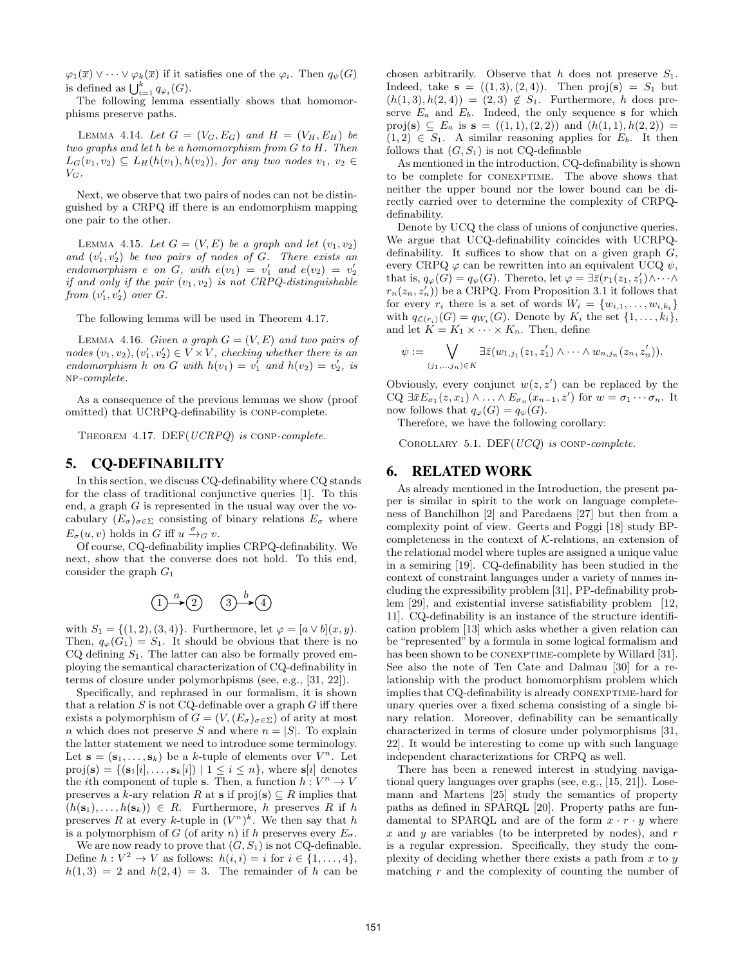$\varphi_1(\overline{x}) \vee \cdots \vee \varphi_k(\overline{x})$  if it satisfies one of the  $\varphi_i$ . Then  $q_{\psi}(G)$ is defined as  $\bigcup_{i=1}^k q_{\varphi_i}(G)$ .

The following lemma essentially shows that homomorphisms preserve paths.

LEMMA 4.14. Let  $G = (V_G, E_G)$  and  $H = (V_H, E_H)$  be two graphs and let h be a homomorphism from G to H. Then  $L_G(v_1, v_2) \subseteq L_H(h(v_1), h(v_2))$ , for any two nodes  $v_1, v_2 \in$  $V_G$ .

Next, we observe that two pairs of nodes can not be distinguished by a CRPQ iff there is an endomorphism mapping one pair to the other.

LEMMA 4.15. Let  $G = (V, E)$  be a graph and let  $(v_1, v_2)$ and  $(v'_1, v'_2)$  be two pairs of nodes of G. There exists an endomorphism e on G, with  $e(v_1) = v'_1$  and  $e(v_2) = v'_2$ if and only if the pair  $(v_1, v_2)$  is not CRPQ-distinguishable from  $(v'_1, v'_2)$  over  $G$ .

The following lemma will be used in Theorem 4.17.

LEMMA 4.16. Given a graph  $G = (V, E)$  and two pairs of nodes  $(v_1, v_2), (v'_1, v'_2) \in V \times V$ , checking whether there is an endomorphism h on G with  $h(v_1) = v'_1$  and  $h(v_2) = v'_2$ , is np-complete.

As a consequence of the previous lemmas we show (proof omitted) that UCRPQ-definability is conp-complete.

THEOREM 4.17. DEF(UCRPQ) is CONP-complete.

## 5. CQ-DEFINABILITY

In this section, we discuss CQ-definability where CQ stands for the class of traditional conjunctive queries [1]. To this end, a graph  $G$  is represented in the usual way over the vocabulary  $(E_{\sigma})_{\sigma \in \Sigma}$  consisting of binary relations  $E_{\sigma}$  where  $E_{\sigma}(u, v)$  holds in G iff  $u \xrightarrow{\sigma} g v$ .

Of course, CQ-definability implies CRPQ-definability. We next, show that the converse does not hold. To this end, consider the graph  $G_1$ 

$$
(1) \xrightarrow{a} (2) \qquad (3) \xrightarrow{b} (4)
$$

with  $S_1 = \{(1, 2), (3, 4)\}.$  Furthermore, let  $\varphi = [a \vee b](x, y).$ Then,  $q_{\varphi}(G_1) = S_1$ . It should be obvious that there is no  $CQ$  defining  $S<sub>1</sub>$ . The latter can also be formally proved employing the semantical characterization of CQ-definability in terms of closure under polymorhpisms (see, e.g., [31, 22]).

Specifically, and rephrased in our formalism, it is shown that a relation  $S$  is not CQ-definable over a graph  $G$  iff there exists a polymorphism of  $G = (V, (E_{\sigma})_{\sigma \in \Sigma})$  of arity at most n which does not preserve S and where  $n = |S|$ . To explain the latter statement we need to introduce some terminology. Let  $\mathbf{s} = (\mathbf{s}_1, \dots, \mathbf{s}_k)$  be a k-tuple of elements over  $V^n$ . Let  $proj(\mathbf{s}) = \{(\mathbf{s}_1[i], \ldots, \mathbf{s}_k[i]) \mid 1 \leq i \leq n\}$ , where  $\mathbf{s}[i]$  denotes the *i*th component of tuple **s**. Then, a function  $h: V^n \to V$ preserves a k-ary relation R at s if  $\text{proj}(s) \subseteq R$  implies that  $(h(\mathbf{s}_1), \ldots, h(\mathbf{s}_k)) \in R$ . Furthermore, h preserves R if h preserves R at every k-tuple in  $(V^n)^k$ . We then say that h is a polymorphism of G (of arity n) if h preserves every  $E_{\sigma}$ .

We are now ready to prove that  $(G, S_1)$  is not CQ-definable. Define  $h: V^2 \to V$  as follows:  $h(i, i) = i$  for  $i \in \{1, ..., 4\},$  $h(1,3) = 2$  and  $h(2,4) = 3$ . The remainder of h can be

chosen arbitrarily. Observe that h does not preserve  $S_1$ . Indeed, take  $s = ((1, 3), (2, 4))$ . Then proj(s) =  $S_1$  but  $(h(1, 3), h(2, 4)) = (2, 3) \notin S_1$ . Furthermore, h does preserve  $E_a$  and  $E_b$ . Indeed, the only sequence **s** for which proj(s)  $\subseteq E_a$  is  $s = ((1, 1), (2, 2))$  and  $(h(1, 1), h(2, 2)) =$  $(1, 2) \in S_1$ . A similar reasoning applies for  $E_b$ . It then follows that  $(G, S_1)$  is not CQ-definable

As mentioned in the introduction, CQ-definability is shown to be complete for conexptime. The above shows that neither the upper bound nor the lower bound can be directly carried over to determine the complexity of CRPQdefinability.

Denote by UCQ the class of unions of conjunctive queries. We argue that UCQ-definability coincides with UCRPQdefinability. It suffices to show that on a given graph  $G$ , every CRPQ  $\varphi$  can be rewritten into an equivalent UCQ  $\psi$ , that is,  $q_{\varphi}(G) = q_{\psi}(G)$ . Thereto, let  $\varphi = \exists \bar{z}(r_1(z_1, z'_1) \wedge \cdots \wedge z_n)$  $r_n(z_n, z'_n)$  be a CRPQ. From Proposition 3.1 it follows that for every  $r_i$  there is a set of words  $W_i = \{w_{i,1}, \ldots, w_{i,k_i}\}\;$ with  $q_{\mathcal{L}(r_i)}(G) = q_{W_i}(G)$ . Denote by  $K_i$  the set  $\{1, \ldots, k_i\},$ and let  $K = K_1 \times \cdots \times K_n$ . Then, define

$$
\psi := \bigvee_{(j_1,\ldots,j_n)\in K} \exists \overline{z}(w_{1,j_1}(z_1,z'_1)\wedge\cdots\wedge w_{n,j_n}(z_n,z'_n)).
$$

Obviously, every conjunct  $w(z, z')$  can be replaced by the CQ  $\exists \bar{x} E_{\sigma_1}(z, x_1) \wedge \ldots \wedge E_{\sigma_n}(x_{n-1}, z')$  for  $w = \sigma_1 \cdots \sigma_n$ . It now follows that  $q_{\varphi}(G) = q_{\psi}(G)$ .

Therefore, we have the following corollary:

COROLLARY 5.1. DEF( $UCQ$ ) is CONP-complete.

## 6. RELATED WORK

As already mentioned in the Introduction, the present paper is similar in spirit to the work on language completeness of Banchilhon [2] and Paredaens [27] but then from a complexity point of view. Geerts and Poggi [18] study BPcompleteness in the context of  $K$ -relations, an extension of the relational model where tuples are assigned a unique value in a semiring [19]. CQ-definability has been studied in the context of constraint languages under a variety of names including the expressibility problem [31], PP-definability problem [29], and existential inverse satisfiability problem [12, 11]. CQ-definability is an instance of the structure identification problem [13] which asks whether a given relation can be "represented" by a formula in some logical formalism and has been shown to be CONEXPTIME-complete by Willard [31]. See also the note of Ten Cate and Dalmau [30] for a relationship with the product homomorphism problem which implies that CQ-definability is already CONEXPTIME-hard for unary queries over a fixed schema consisting of a single binary relation. Moreover, definability can be semantically characterized in terms of closure under polymorphisms [31, 22]. It would be interesting to come up with such language independent characterizations for CRPQ as well.

There has been a renewed interest in studying navigational query languages over graphs (see, e.g., [15, 21]). Losemann and Martens [25] study the semantics of property paths as defined in SPARQL [20]. Property paths are fundamental to SPARQL and are of the form  $x \cdot r \cdot y$  where x and y are variables (to be interpreted by nodes), and  $r$ is a regular expression. Specifically, they study the complexity of deciding whether there exists a path from  $x$  to  $y$ matching  $r$  and the complexity of counting the number of